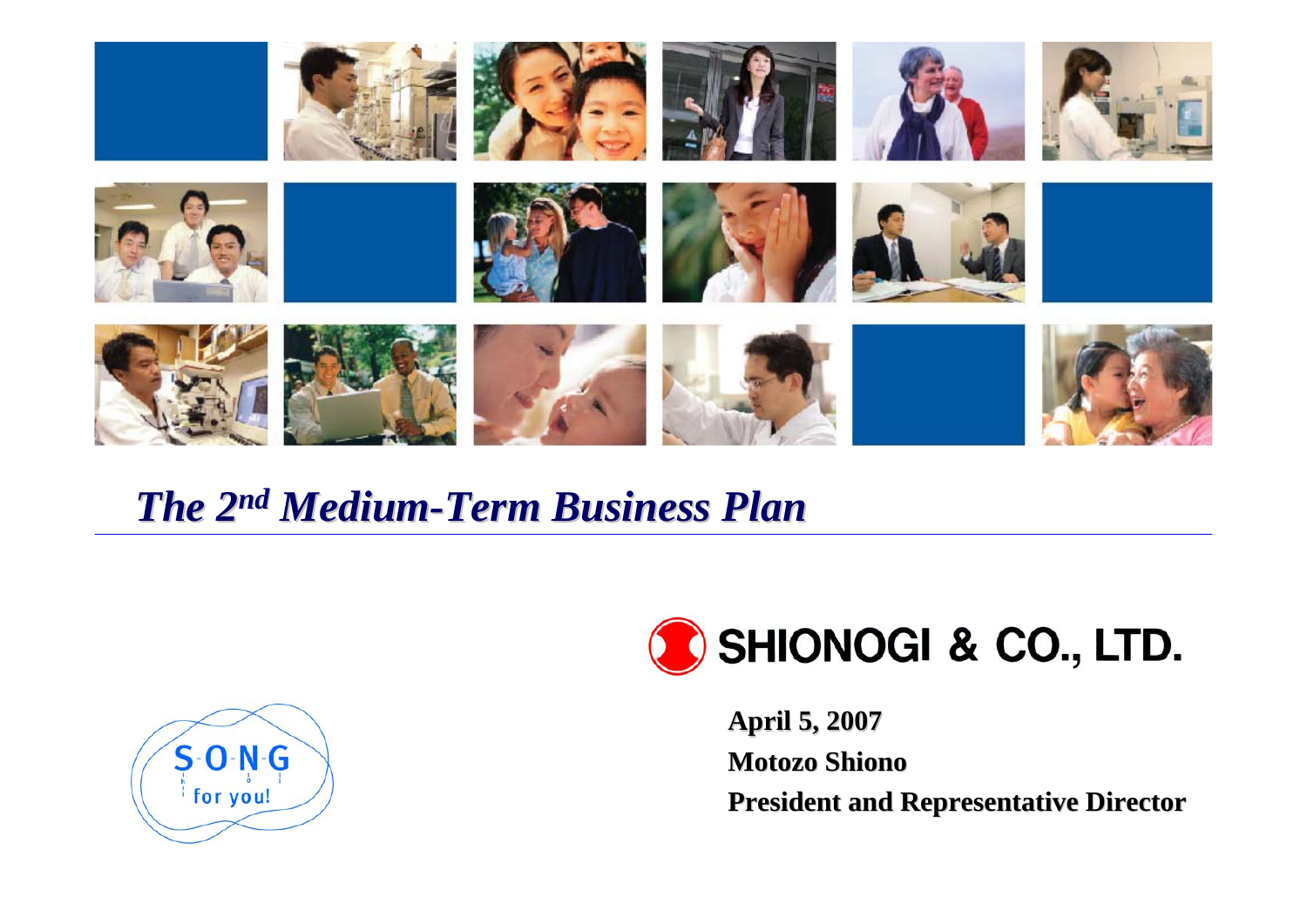

## *The 2nd Medium-Term Business Plan Term Business Plan*





**April 5, 2007 April 5, 2007 Motozo Shiono President and Representative Director**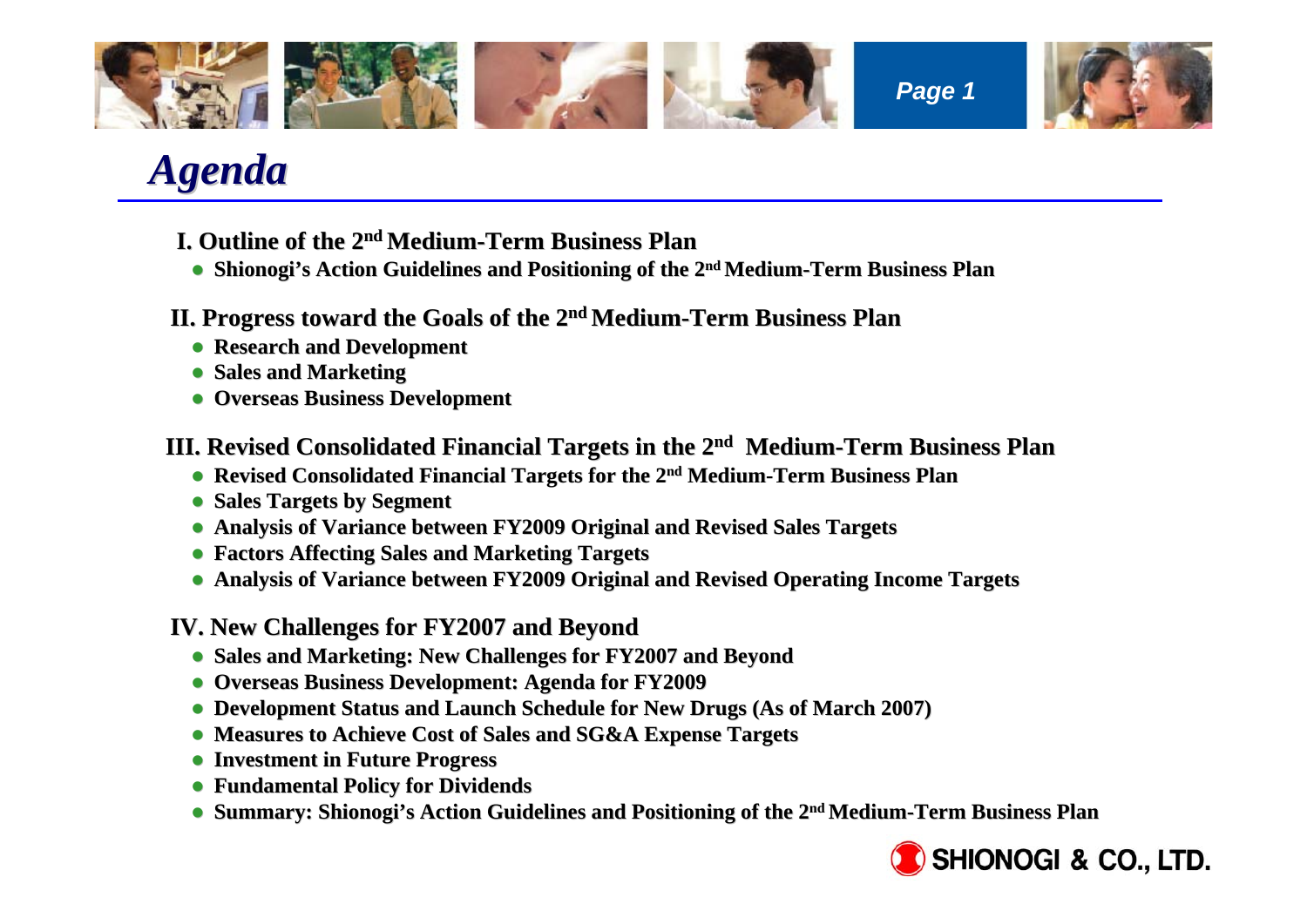

# *Agenda*

- **I. Outline of the 2 I. Outline of the 2nd Medium-Term Business Plan Term Business Plan**
- **Shionogi's Action Guidelines and Positioning of the 2<sup>nd</sup> Medium-Term Business Plan**
- **II. Progress toward the Goals of the 2 II. Progress toward the Goals of the 2nd Medium-Term Business Plan Term Business Plan**
	- **Research and Development**
	- **Sales and Marketing**
	- **Overseas Business Development**

**III. Revised Consolidated Financial Targets in the 2<sup>nd</sup> Medium-Term Business Plan** 

- **Revised Consolidated Financial Targets for the 2<sup>nd</sup> Medium-Term Business Plan**
- **Sales Targets by Segment**
- **Analysis of Variance between FY2009 Original and Revised Sales Targets**
- z **Factors Affecting Sales and Marketing Targets Factors Affecting Sales and Marketing Targets**
- **Analysis of Variance between FY2009 Original and Revised Operating Income Targets**

**IV. New Challenges for FY2007 and Beyond IV. Challenges for FY2007 and Beyond**

- **Sales and Marketing: New Challenges for FY2007 and Beyond**
- **Overseas Business Development: Agenda for FY2009**
- **Development Status and Launch Schedule for New Drugs (As of March 2007)**
- **Measures to Achieve Cost of Sales and SG&A Expense Targets**
- z **Investment in Future Progress Investment in Future Progress**
- z **Fundamental Policy for Dividends Fundamental Policy for Dividends**
- **Summary: Shionogi's Action Guidelines and Positioning of the 2<sup>nd</sup> Medium-Term Business Plan**

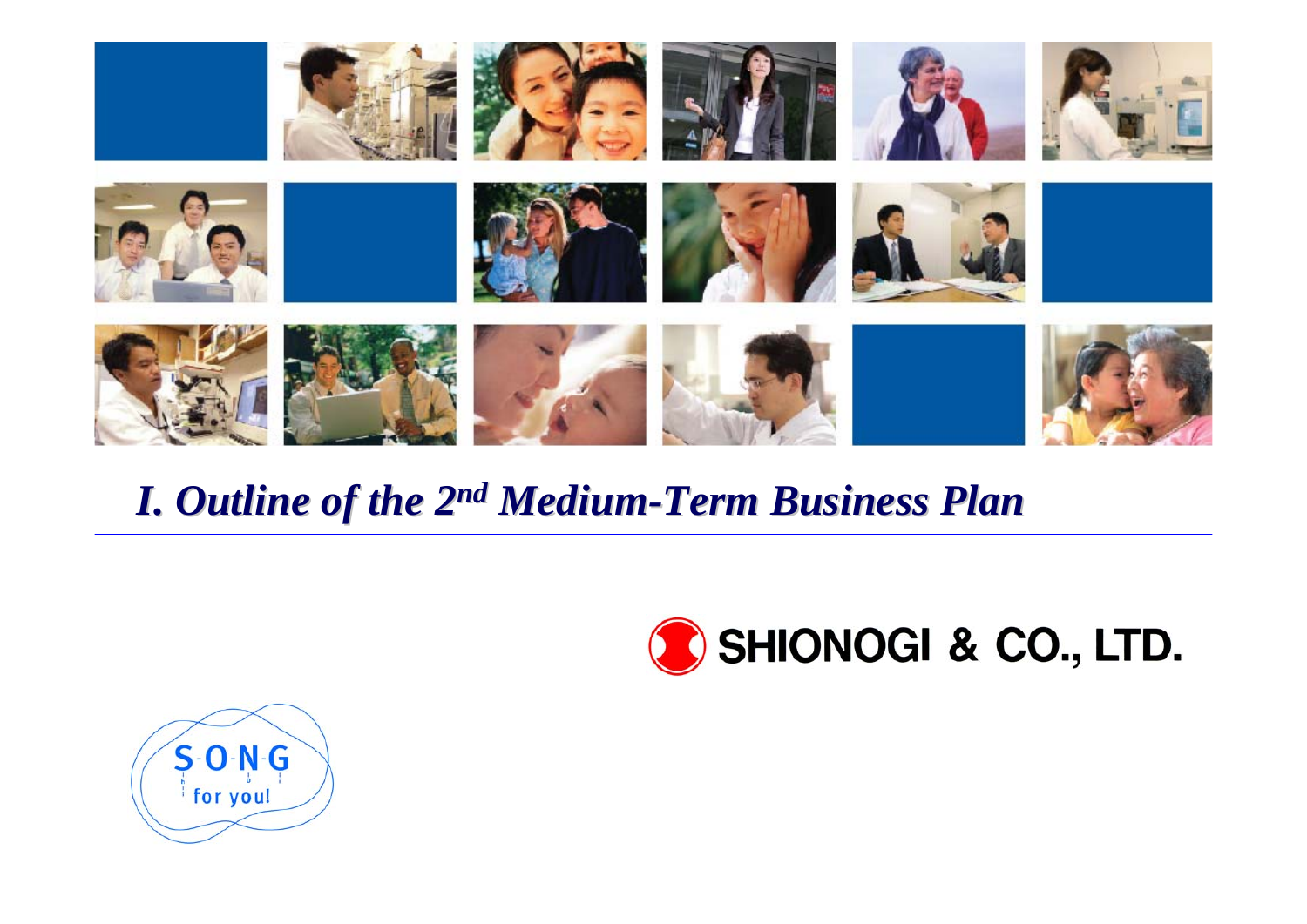

# *I. Outline of the 2 I. Outline of the 2n<sup>d</sup> Medium-Term Business Plan Term Business Plan*



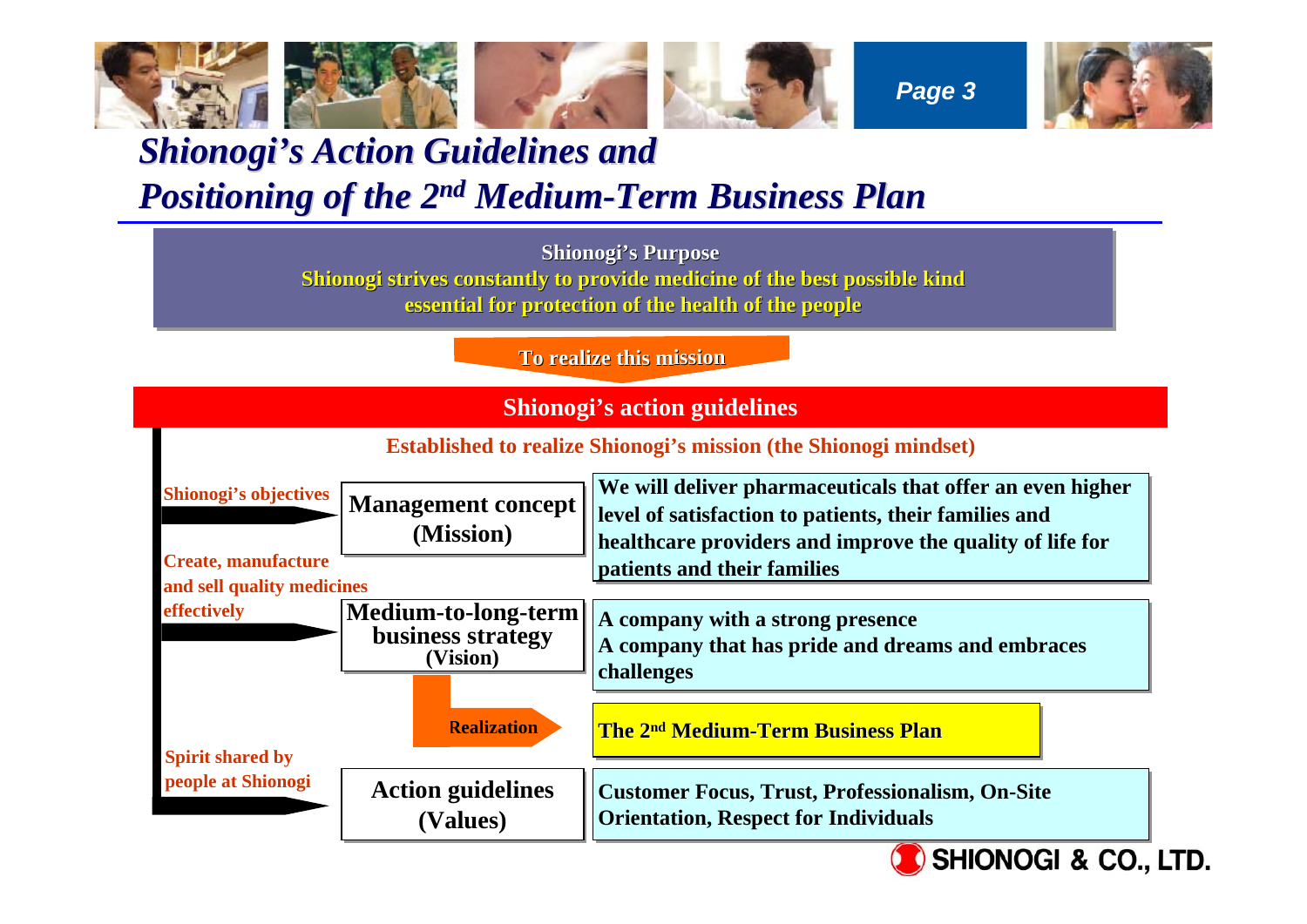

### **Shionogi's Action Guidelines and** *Positioning of the 2 Positioning of the 2n<sup>d</sup> Medium-Term Business Plan Term Business Plan*

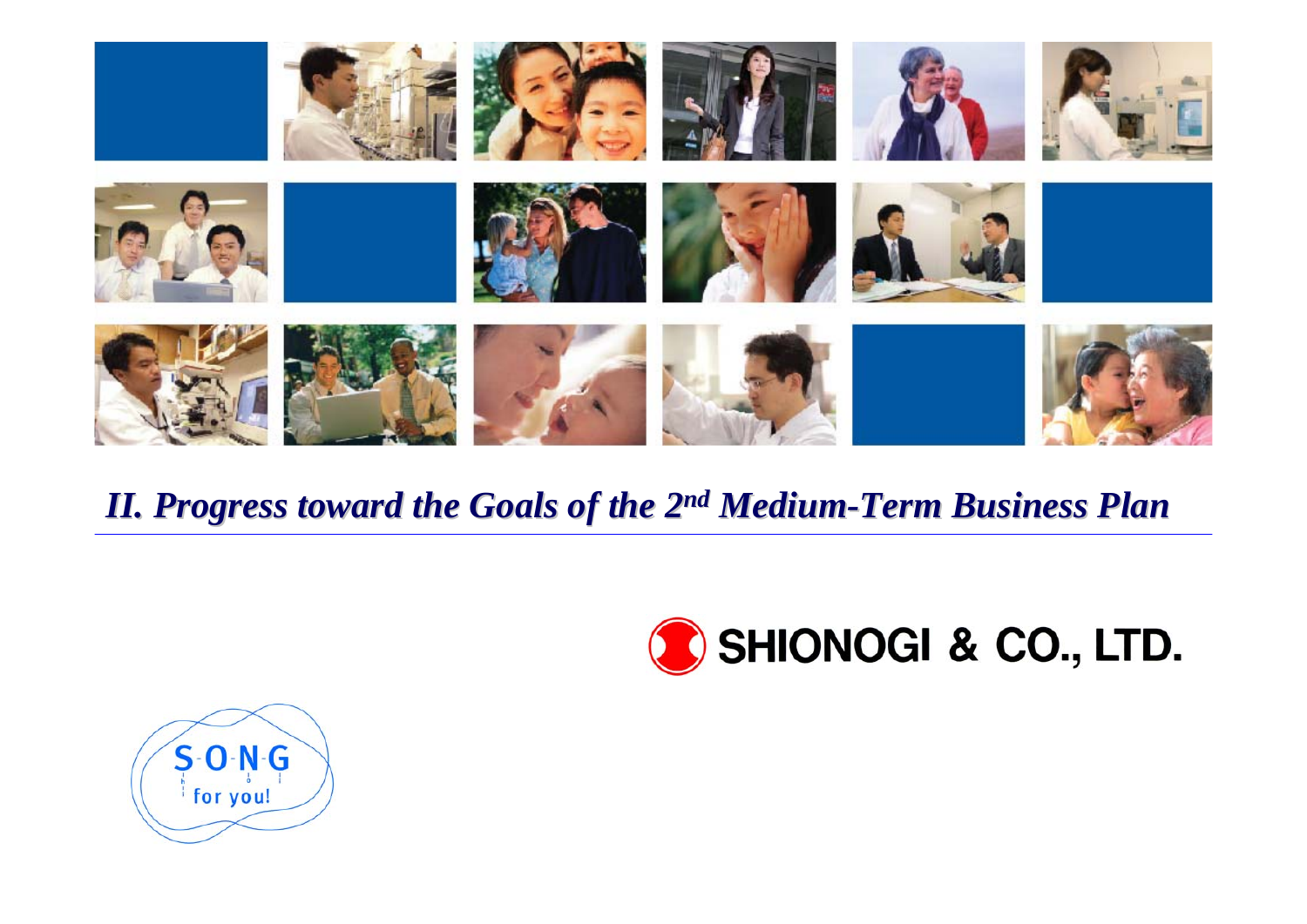

### *II. Progress toward the Goals of the 2 II. Progress toward the Goals of the 2n<sup>d</sup> Medium-Term Business Plan Term Business Plan*



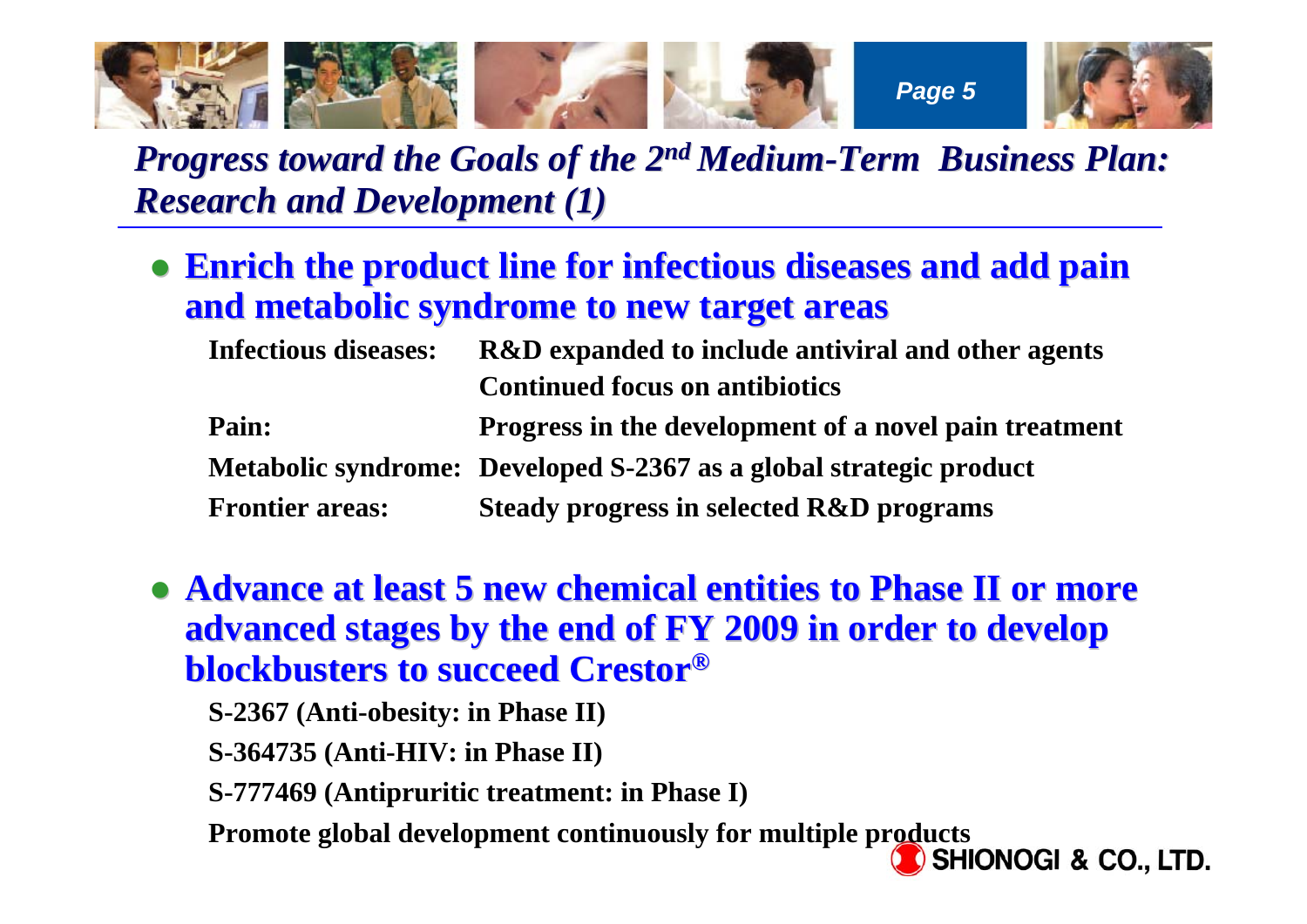

## *Progress toward the Goals of the 2<sup>nd</sup> Medium-Term Business Plan: Research and Development (1) Research and Development (1)*

**• Enrich the product line for infectious diseases and add pain and metabolic syndrome to new target areas and metabolic syndrome to new target areas**

| <b>Infectious diseases:</b> | <b>R&amp;D</b> expanded to include antiviral and other agents      |
|-----------------------------|--------------------------------------------------------------------|
|                             | <b>Continued focus on antibiotics</b>                              |
| Pain:                       | Progress in the development of a novel pain treatment              |
|                             | Metabolic syndrome: Developed S-2367 as a global strategic product |
| <b>Frontier areas:</b>      | <b>Steady progress in selected R&amp;D programs</b>                |

- **Advance at least 5 new chemical entities to Phase II or more advanced stages by the end of FY 2009 in order to develop blockbusters to succeed Crestor blockbusters to succeed Crestor®**
	- **S-2367 (Anti-obesity: in Phase II)**
	- **S-364735 (Anti-HIV: in Phase II)**
	- **S-777469 (Antipruritic treatment: in Phase I)**
	- **Promote global development continuously for multiple products**<br>**Promote global development continuously for multiple products**<br>**Promote global development continuously for multiple products**

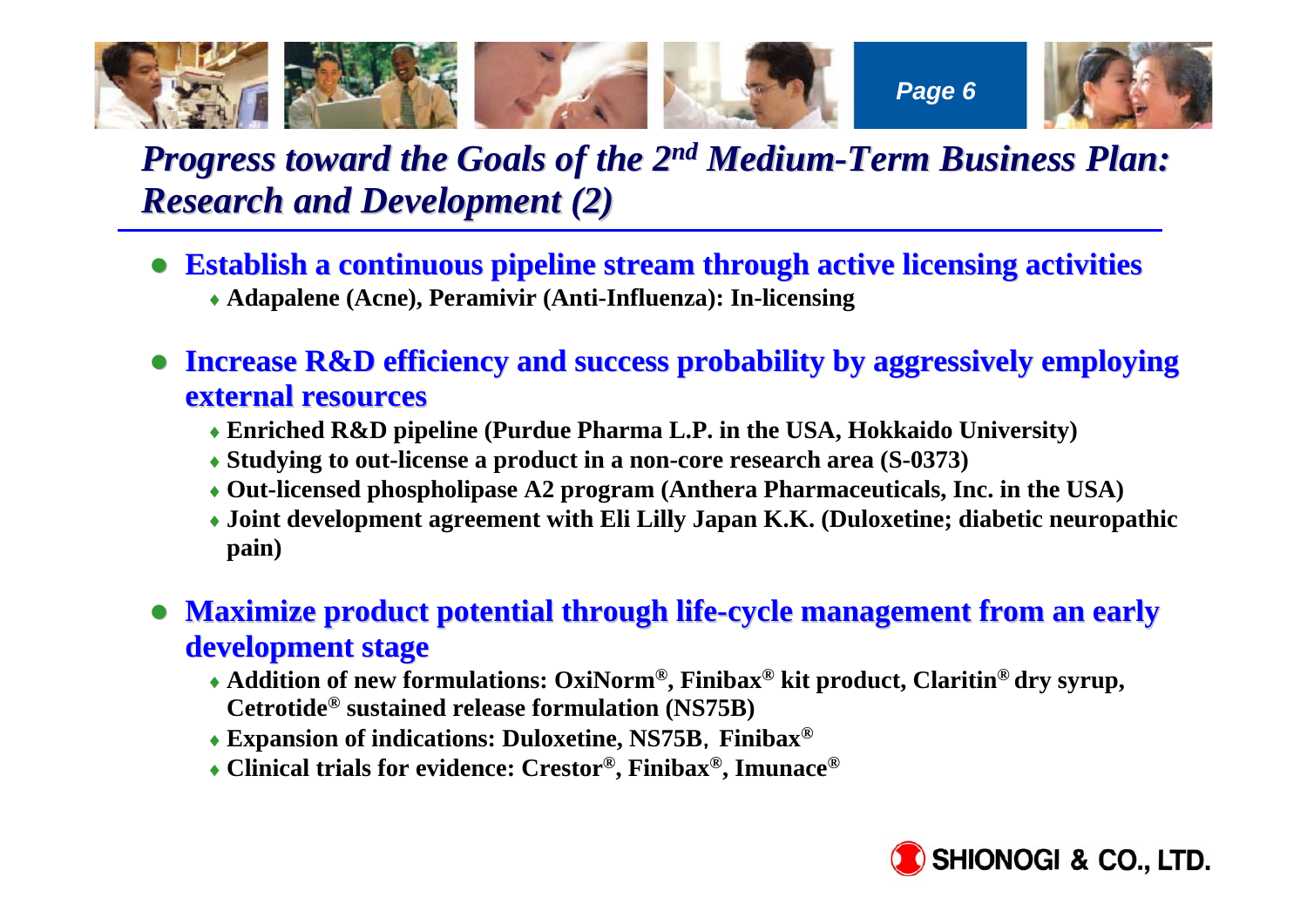

## *Progress toward the Goals of the 2<sup>nd</sup> Medium-Term Business Plan: Research and Development (2) Research and Development (2)*

- z **Establish a continuous pipeline Establish a continuous pipeline stream through active licensing stream through active licensing activities activities** ♦ **Adapalene (Acne), Peramivir (Anti-Influenza): In-licensing**
- **Increase R&D efficiency and success probability by aggressively employing external resources external resources** 
	- ♦ **Enriched R&D pipeline (Purdue Pharma L.P. in the USA, Hokkaido University)**
	- ♦ **Studying to out-license a product in a non-core research area (S-0373)**
	- ♦ **Out-licensed phospholipase A2 program (Anthera Pharmaceuticals, Inc. in the USA)**
	- ♦ **Joint development agreement with Eli Lilly Japan K.K. (Duloxetine; diabetic neuropathic pain)**
- z**Maximize product potential through life-cycle management from an early development development stage**
	- ♦ **Addition of new formulations: OxiNorm®, Finibax® kit product, Claritin® dry syrup, Cetrotide® sustained release formulation (NS75B)**
	- ♦ **Expansion of indications: Duloxetine, NS75B**,**Finibax®**
	- ♦ **Clinical trials for evidence: Crestor®, Finibax®, Imunace®**

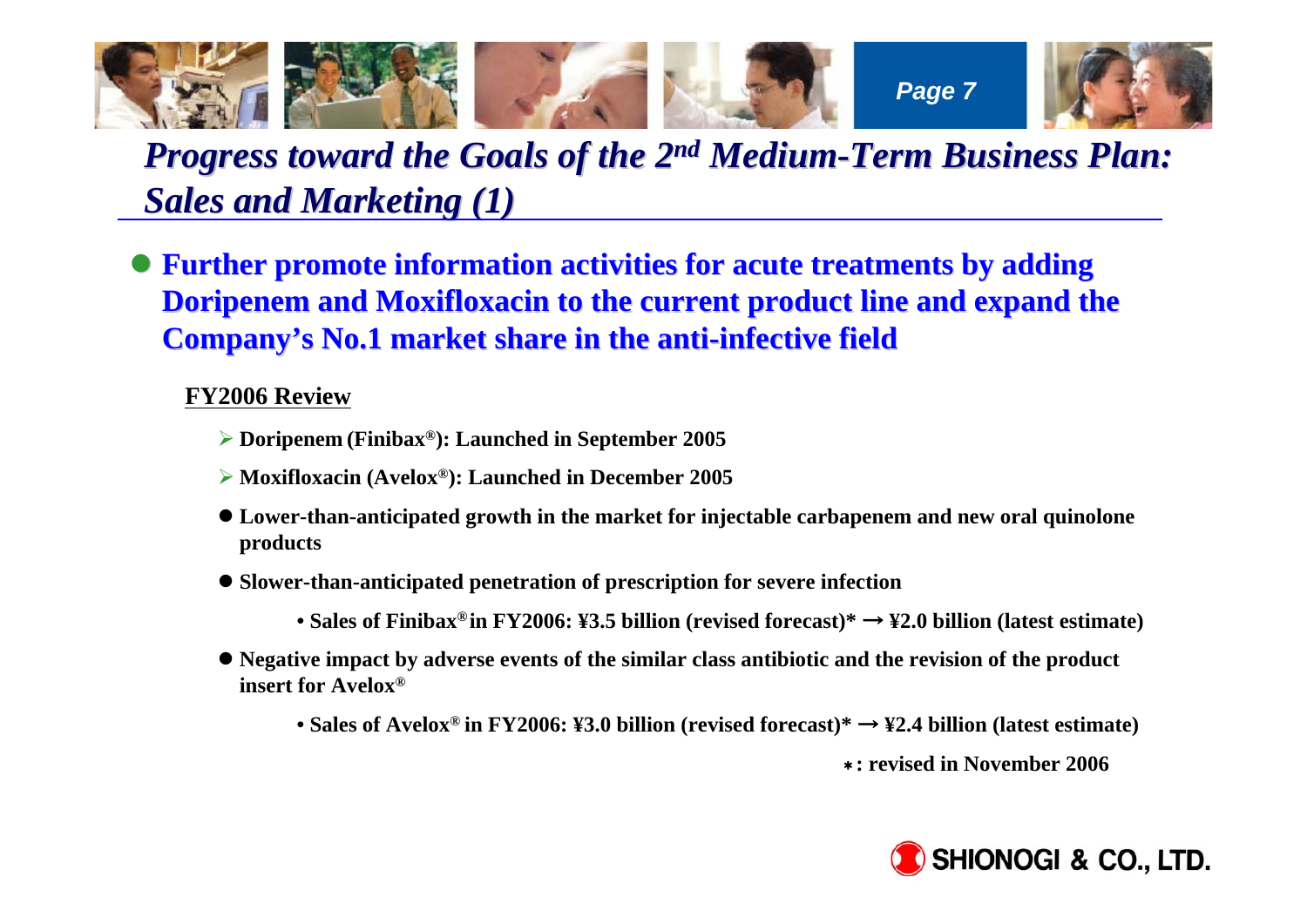

## *Progress toward the Goals of the 2<sup>nd</sup> Medium-Term Business Plan: Sales and Marketing (1) Sales and Marketing (1)*

**• Further promote information activities for acute treatments by adding Doripenem and Moxifloxacin to the current product line and expand the Company's No.1 market share in the anti-infective field** 

#### **FY2006 Review**

- ¾ **Doripenem (Finibax®): Launched in September 2005**
- ¾ **Moxifloxacin (Avelox®): Launched in December 2005**
- **Lower-than-anticipated growth in the market for injectable carbapenem and new oral quinolone products**
- $\bullet$  **Slower-than-anticipated penetration of prescription for severe infection** 
	- **Sales of Finibax®in FY2006: ¥3.5 billion (revised forecast)\*** <sup>→</sup> **¥2.0 billion (latest estimate)**
- Negative impact by adverse events of the similar class antibiotic and the revision of the product **insert for Avelox®**
	- **Sales of Avelox® in FY2006: ¥3.0 billion (revised forecast)\*** <sup>→</sup> **¥2.4 billion (latest estimate)**

\***: revised in November 2006** 

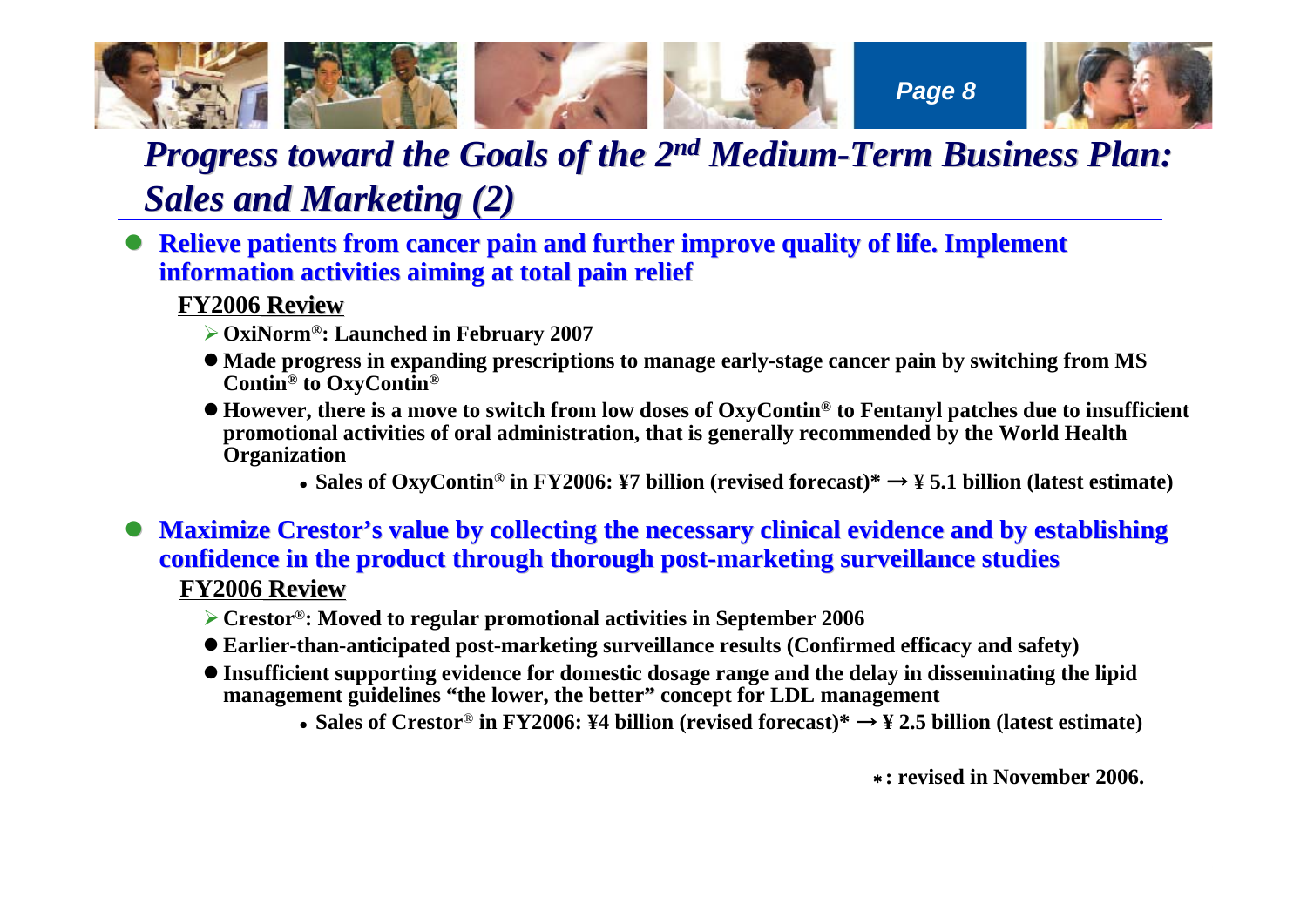

## *Progress toward the Goals of the 2<sup>nd</sup> Medium-Term Business Plan: Sales and Marketing (2) Sales and Marketing (2)*

**• Relieve patients from cancer pain and further improve quality of life. Implement information activities aiming at total pain relief information activities aiming at total pain relief**

#### **FY2006 Review**

- ¾**OxiNorm®: Launched in February 2007**
- Made progress in expanding prescriptions to manage early-stage cancer pain by switching from MS **Contin® to OxyContin®**
- z **However, there is a move to switch from low doses of OxyContin® to Fentanyl patches due to insufficient promotional activities of oral administration, that is generally recommended by the World Health Organization**
	- z **Sales of OxyContin® in FY2006: ¥7 billion (revised forecast)\*** <sup>→</sup> **¥ 5.1 billion (latest estimate)**
- $\bullet$ **Maximize Crestor's value by collecting the necessary clinical evidence and by establishing confidence in the product through thorough post-marketing surveillance studies FY2006 Review**
	- ¾**Crestor®: Moved to regular promotional activities in September 2006**
	- z **Earlier-than-anticipated post-marketing surveillance results (Confirmed efficacy and safety)**
	- **Insufficient supporting evidence for domestic dosage range and the delay in disseminating the lipid management guidelines "the lower, the better" concept for LDL management** 
		- z **Sales of Crestor**® **in FY2006: ¥4 billion (revised forecast)\*** <sup>→</sup> **¥ 2.5 billion (latest estimate)**

\***: revised in November 2006.**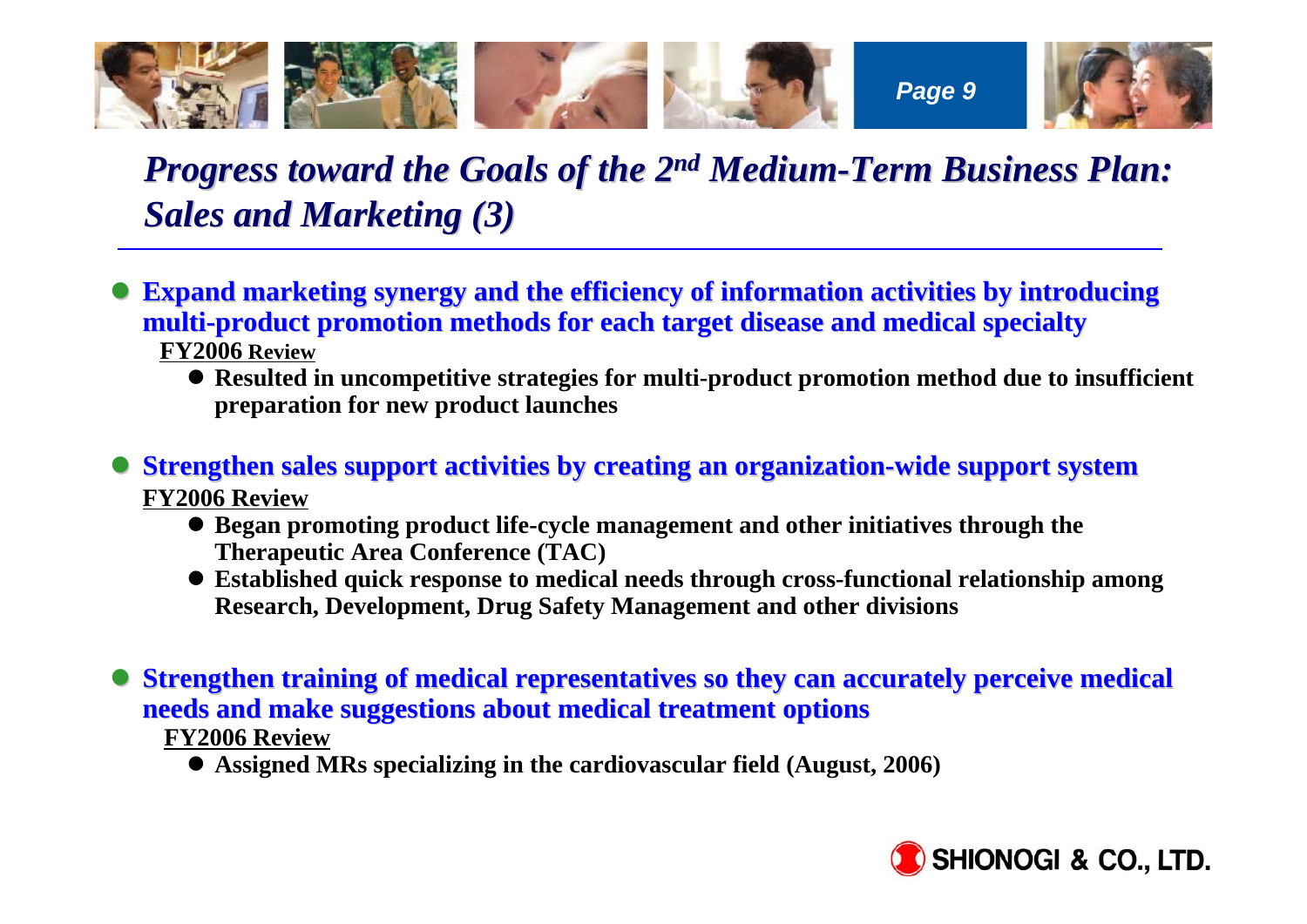

## *Progress toward the Goals of the 2<sup>nd</sup> Medium-Term Business Plan: Sales and Marketing (3) Sales and Marketing (3)*

- $\bullet$ **Expand marketing synergy and the efficiency of information activities by introducing multi-product promotion methods for each target disease and medical specialty FY2006 Review**
	- **Resulted in uncompetitive strategies for multi-product promotion method due to insufficient preparation for new product launches**

 $\bullet$ **Strengthen sales support activities by creating an organization-wide support system FY2006 Review**

- **Began promoting product life-cycle management and other initiatives through the Therapeutic Area Conference (TAC)**
- **Established quick response to medical needs through cross-functional relationship among Research, Development, Drug Safety Management and other divisions**

 $\bullet$ **Strengthen training of medical representatives so they can accurately perceive medical needs and make suggestions about medical treatment options needs and make suggestions about medical treatment options**

**FY2006 Review**

**• Assigned MRs specializing in the cardiovascular field (August, 2006)** 

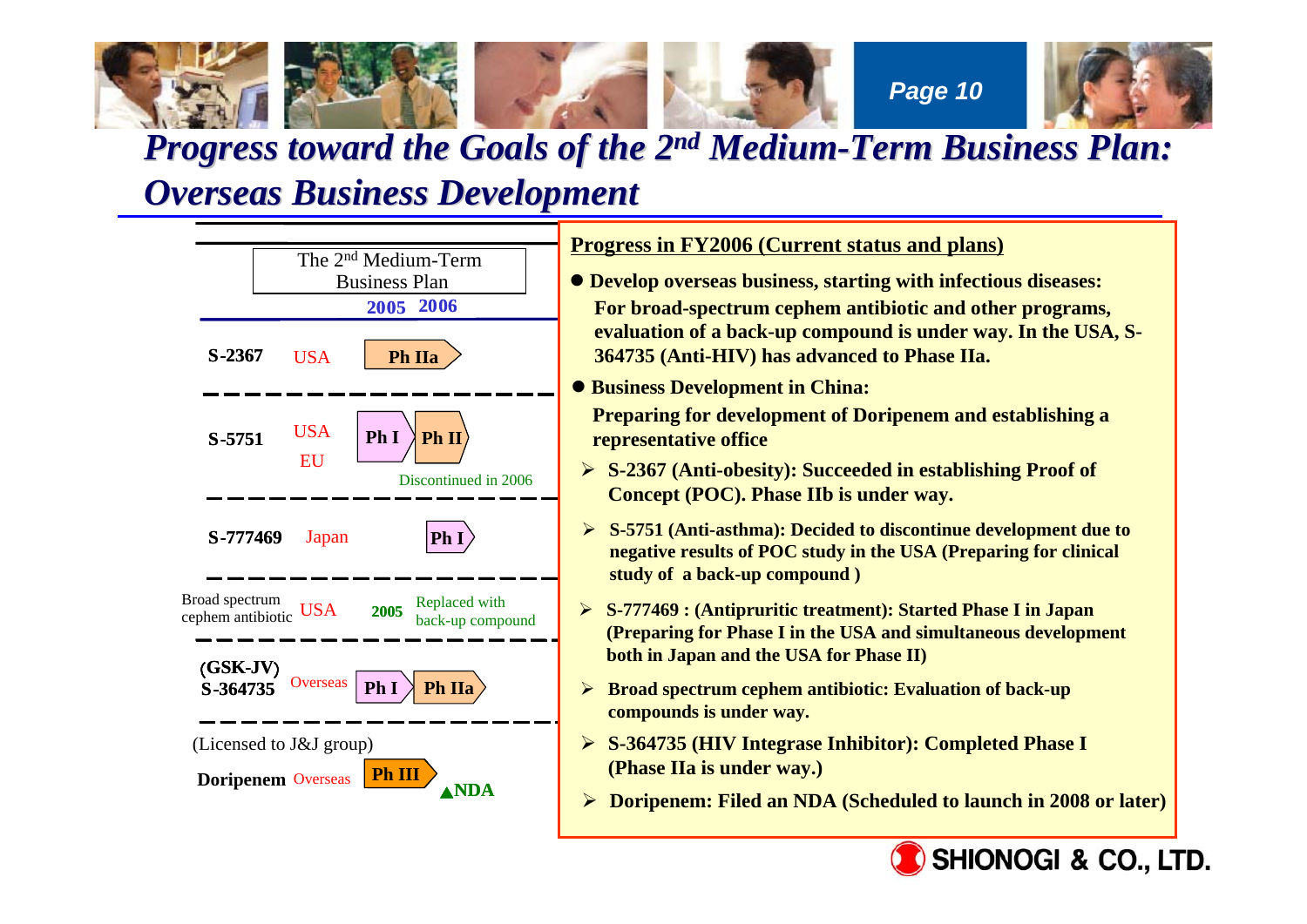

### *Progress toward the Goals of the 2<sup>nd</sup> Medium-Term Business Plan: Overseas Business Development Overseas Business Development*

**S-23672006 2005S-5751Ph.2aPh IIaPh.1 Ph I S-364735 Ph.1 Ph.2a Ph IIa**▲**NDA Ph.3 Ph III** (**GSK-JV**) **Ph.1Ph IPh II** $\mathbf{I}$  )  $\mathbf{Ph}\mathbf{I}$ **S-777469 2005** <u>Progress in FY2006 (Current status and plans)</u>  $\bullet$  **Develop overseas business, starting with infectious diseases:** For broad-spectrum cephem antibiotic and other programs<mark>,</mark> evaluation of a back-up compound is under way. In the USA, S-で**Ph.2a**にステージアップ **364735 (Anti-HIV) has advanced to Phase IIa.**  $\bullet$  **Business Development in China: Preparing for development of Doripenem and establishing a** 設準備 **representative office**  Ø **S- 2367**(抗肥満薬): **Concept (POC). Phase IIb is under way. ► S-364735 (HIV Integrase Inhibitor): Completed Phase I USA Doripenem** Overseas **Ph I**(Licensed to J&J group) Discontinued in 2006 Broad spectrum Broad spectrum<br>
cephem antibiotic USA 2005 back-up compound ¾ **S-2367 (Anti-obesity): Succeeded in establishing Proof of**  The 2n<sup>d</sup> Medium-TermBusiness PlanEUJapan **Overseas** ¾ **S-5751 (Anti-asthma): Decided to discontinue development due to negative results of POC study in the USA (Preparing for clinical study of a back-up compound )** ¾ **S-777469 : (Antipruritic treatment): Started Phase I in Japan (Preparing for Phase I in the USA and simultaneous development both in Japan and the USA for Phase II)** ¾ **Broad spectrum cephem antibiotic: Evaluation of back-up compounds is under way. (Phase IIa is under way.)** ¾ **Doripenem: Filed an NDA (Scheduled to launch in 2008 or later)** USA

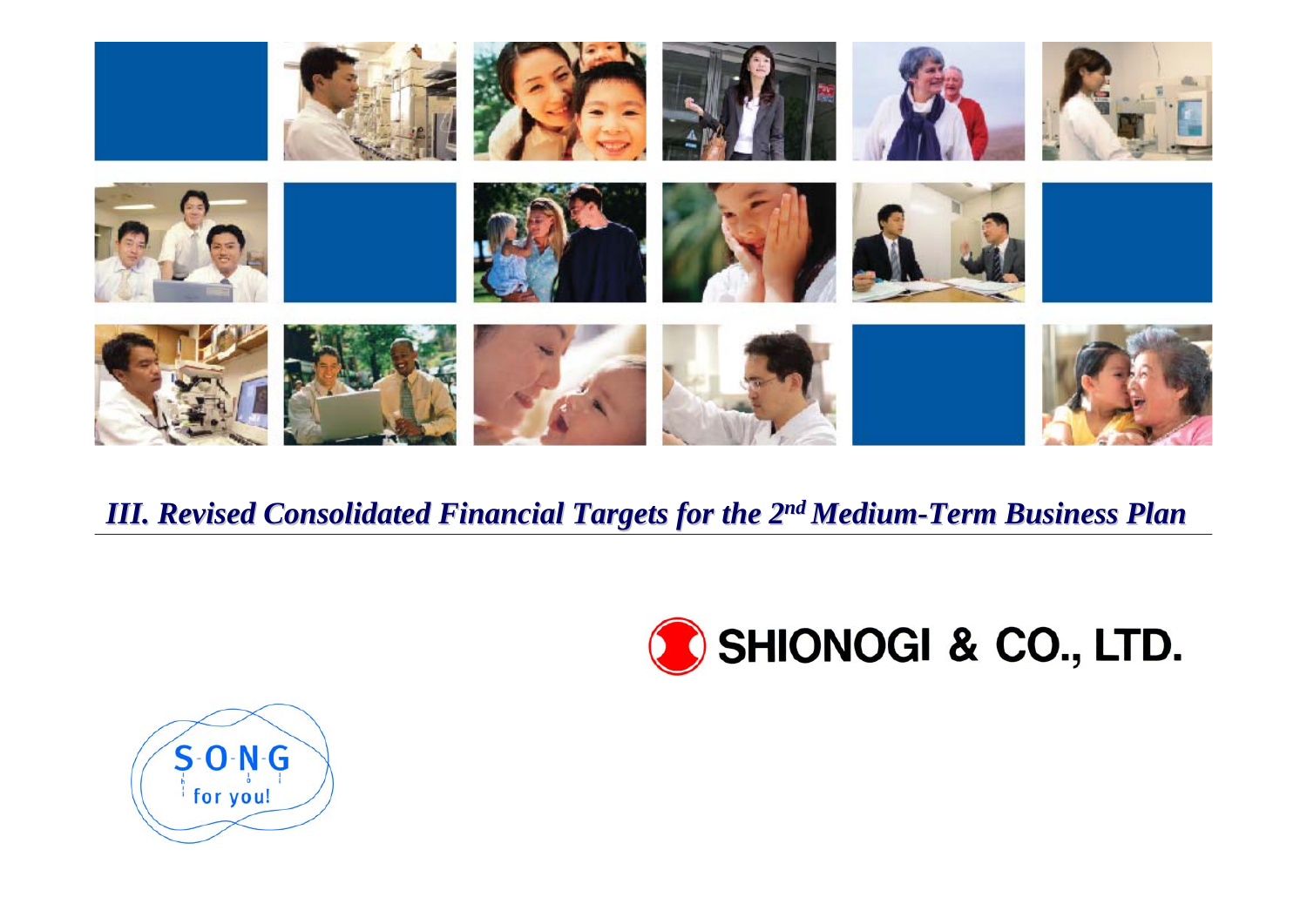

### *III. Revised Consolidated Financial Targets for the 2 III. Revised Consolidated Financial Targets for the 2nd Medium-Term Business Plan Term Business Plan*



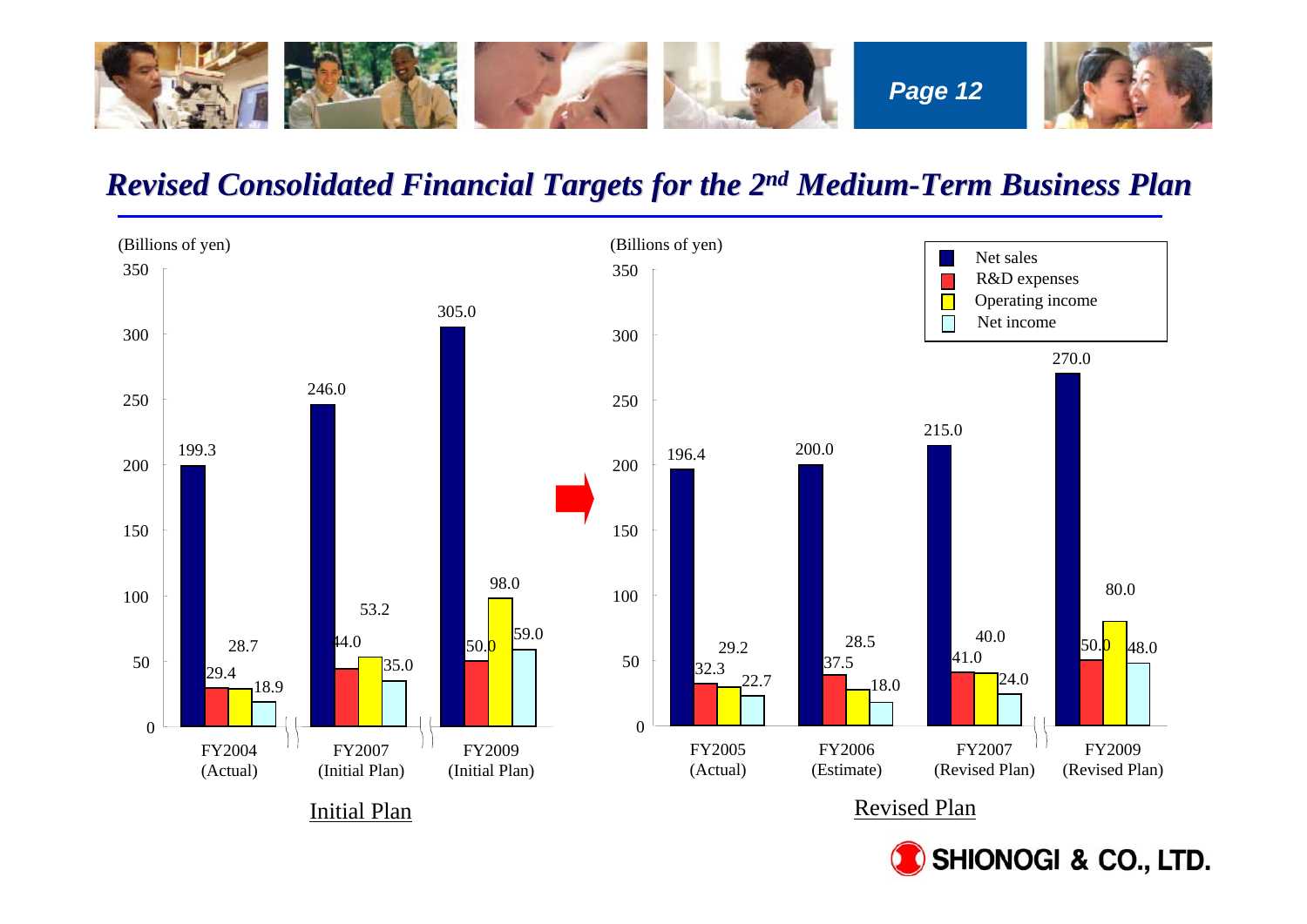

### *Revised Consolidated Financial Targets for the 2 Revised Consolidated Financial Targets for the 2n<sup>d</sup> Medium-Term Business Plan Term Business Plan*



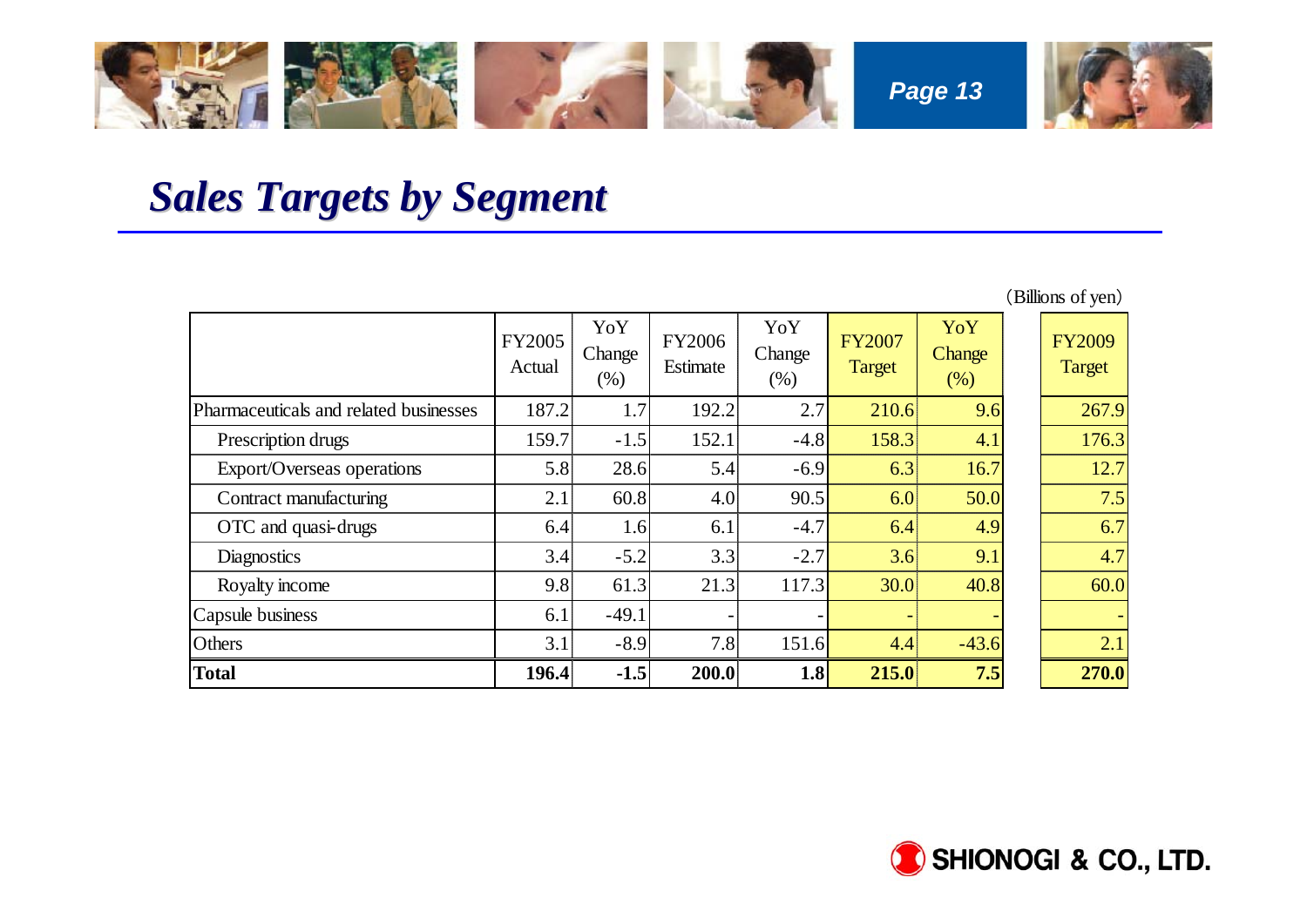

## *Sales Targets by Segment Sales Targets by Segment*

|                                        |                  |                         |                    |                       |                                |                       | (Billions of yen)              |
|----------------------------------------|------------------|-------------------------|--------------------|-----------------------|--------------------------------|-----------------------|--------------------------------|
|                                        | FY2005<br>Actual | YoY<br>Change<br>$(\%)$ | FY2006<br>Estimate | YoY<br>Change<br>(% ) | <b>FY2007</b><br><b>Target</b> | YoY<br>Change<br>(% ) | <b>FY2009</b><br><b>Target</b> |
| Pharmaceuticals and related businesses | 187.2            | 1.7                     | 192.2              | 2.7                   | 210.6                          | 9.6                   | 267.9                          |
| Prescription drugs                     | 159.7            | $-1.5$                  | 152.1              | $-4.8$                | 158.3                          | 4.1                   | 176.3                          |
| Export/Overseas operations             | 5.8              | 28.6                    | 5.4                | $-6.9$                | 6.3                            | 16.7                  | 12.7                           |
| Contract manufacturing                 | 2.1              | 60.8                    | 4.0                | 90.5                  | 6.0                            | 50.0                  | 7.5                            |
| OTC and quasi-drugs                    | 6.4              | 1.6                     | 6.1                | $-4.7$                | 6.4                            | 4.9                   | 6.7                            |
| <b>Diagnostics</b>                     | 3.4              | $-5.2$                  | 3.3                | $-2.7$                | 3.6                            | 9.1                   | 4.7                            |
| Royalty income                         | 9.8              | 61.3                    | 21.3               | 117.3                 | 30.0                           | 40.8                  | 60.0                           |
| Capsule business                       | 6.1              | $-49.1$                 |                    |                       |                                |                       |                                |
| Others                                 | 3.1              | $-8.9$                  | 7.8                | 151.6                 | 4.4                            | $-43.6$               | 2.1                            |
| <b>Total</b>                           | 196.4            | $-1.5$                  | 200.0              | 1.8                   | 215.0                          | 7.5                   | 270.0                          |

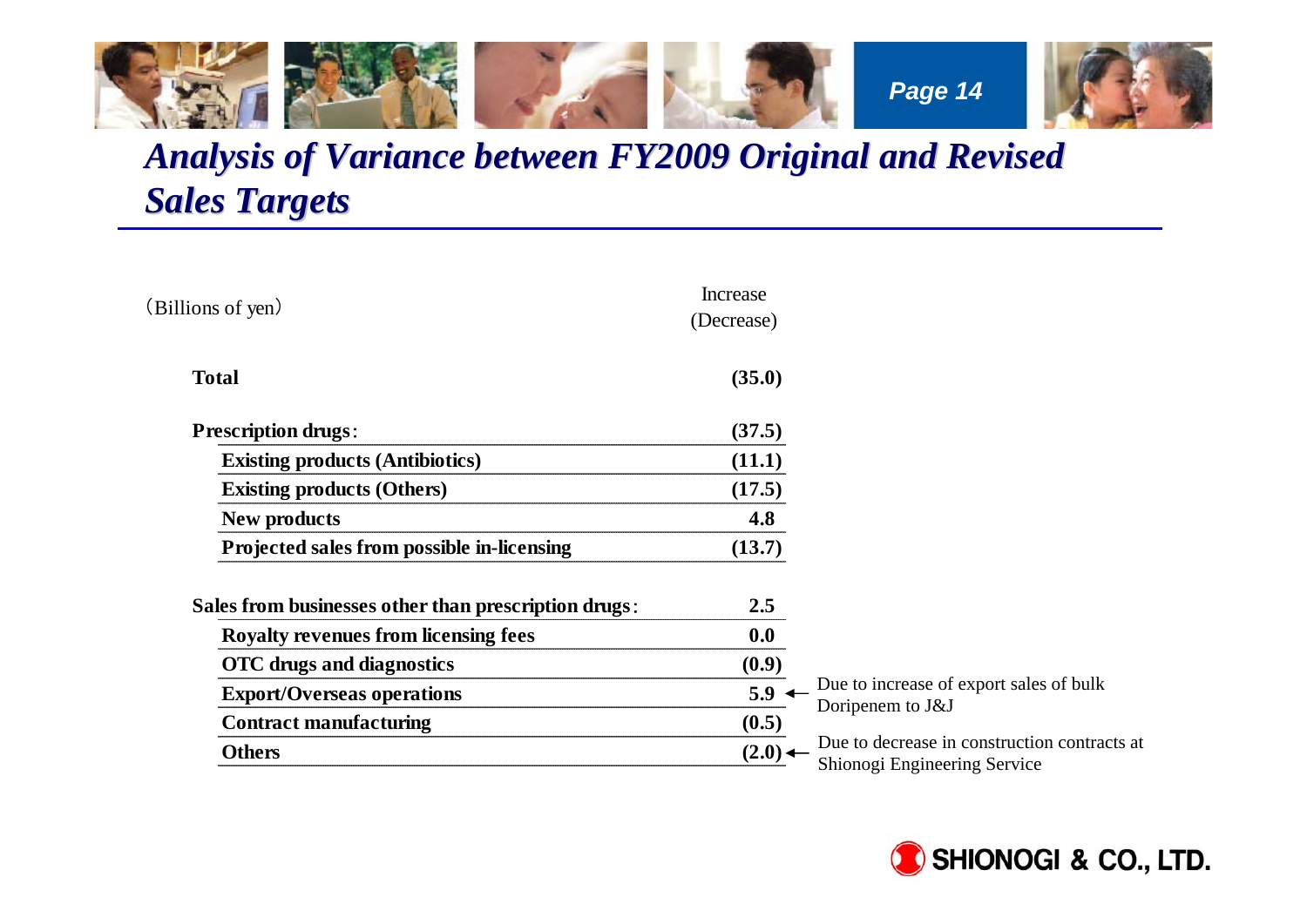

## *Analysis of Variance between FY2009 Original and Revised Sales Targets Sales Targets*

| (Billions of yen)                                    | Increase<br>(Decrease) |                                                                              |
|------------------------------------------------------|------------------------|------------------------------------------------------------------------------|
| <b>Total</b>                                         | (35.0)                 |                                                                              |
| <b>Prescription drugs.</b>                           | (37.5)                 |                                                                              |
| <b>Existing products (Antibiotics)</b>               | (11.1)                 |                                                                              |
| <b>Existing products (Others)</b>                    | (17.5)                 |                                                                              |
| <b>New products</b>                                  | 4.8                    |                                                                              |
| Projected sales from possible in-licensing           | (13.7)                 |                                                                              |
| Sales from businesses other than prescription drugs: | 2.5                    |                                                                              |
| Royalty revenues from licensing fees                 | 0.0                    |                                                                              |
| <b>OTC</b> drugs and diagnostics                     | (0.9)                  |                                                                              |
| <b>Export/Overseas operations</b>                    | $5.9 \leftarrow$       | Due to increase of export sales of bulk                                      |
| <b>Contract manufacturing</b>                        | (0.5)                  | Doripenem to J&J                                                             |
| <b>Others</b>                                        | (2.0)                  | Due to decrease in construction contracts at<br>Shionogi Engineering Service |

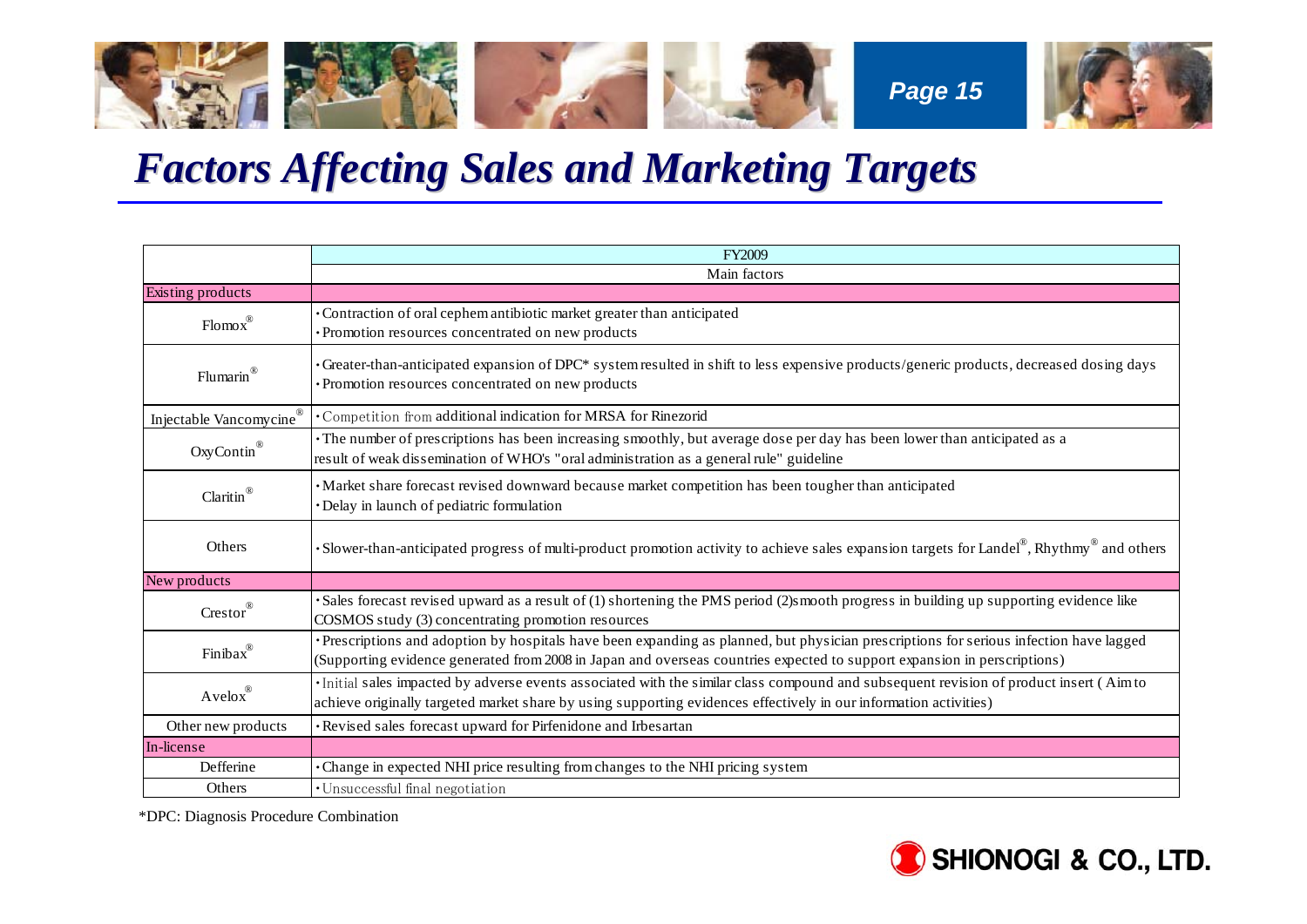

# *Factors Affecting Sales and Marketing Targets Factors Affecting Sales and Marketing Targets*

|                          | FY2009                                                                                                                                                                                                                                                            |  |
|--------------------------|-------------------------------------------------------------------------------------------------------------------------------------------------------------------------------------------------------------------------------------------------------------------|--|
|                          | Main factors                                                                                                                                                                                                                                                      |  |
| Existing products        |                                                                                                                                                                                                                                                                   |  |
| $Flomox^{\circledR}$     | Contraction of oral cephem antibiotic market greater than anticipated<br>· Promotion resources concentrated on new products                                                                                                                                       |  |
| Flumarin®                | Greater-than-anticipated expansion of DPC* system resulted in shift to less expensive products/generic products, decreased dosing days<br>· Promotion resources concentrated on new products                                                                      |  |
| Injectable Vancomycine®  | · Competition from additional indication for MRSA for Rinezorid                                                                                                                                                                                                   |  |
| OxyContin®               | The number of prescriptions has been increasing smoothly, but average dose per day has been lower than anticipated as a<br>result of weak dissemination of WHO's "oral administration as a general rule" guideline                                                |  |
| Claritin <sup>®</sup>    | ·Market share forecast revised downward because market competition has been tougher than anticipated<br>· Delay in launch of pediatric formulation                                                                                                                |  |
| Others                   | • Slower-than-anticipated progress of multi-product promotion activity to achieve sales expansion targets for Landel $\mathbb{P}$ , Rhythmy and others                                                                                                            |  |
| New products             |                                                                                                                                                                                                                                                                   |  |
| $Crestor^{\circledR}$    | Sales forecast revised upward as a result of (1) shortening the PMS period (2)smooth progress in building up supporting evidence like<br>COSMOS study (3) concentrating promotion resources                                                                       |  |
| Finibax <sup>®</sup>     | Prescriptions and adoption by hospitals have been expanding as planned, but physician prescriptions for serious infection have lagged<br>(Supporting evidence generated from 2008 in Japan and overseas countries expected to support expansion in perscriptions) |  |
| $A$ velo $x^{\circledR}$ | Initial sales impacted by adverse events associated with the similar class compound and subsequent revision of product insert (Aimto<br>achieve originally targeted market share by using supporting evidences effectively in our information activities)         |  |
| Other new products       | · Revised sales forecast upward for Pirfenidone and Irbesartan                                                                                                                                                                                                    |  |
| In-license               |                                                                                                                                                                                                                                                                   |  |
| Defferine                | Change in expected NHI price resulting from changes to the NHI pricing system                                                                                                                                                                                     |  |
| Others                   | · Unsuccessful final negotiation                                                                                                                                                                                                                                  |  |

\*DPC: Diagnosis Procedure Combination

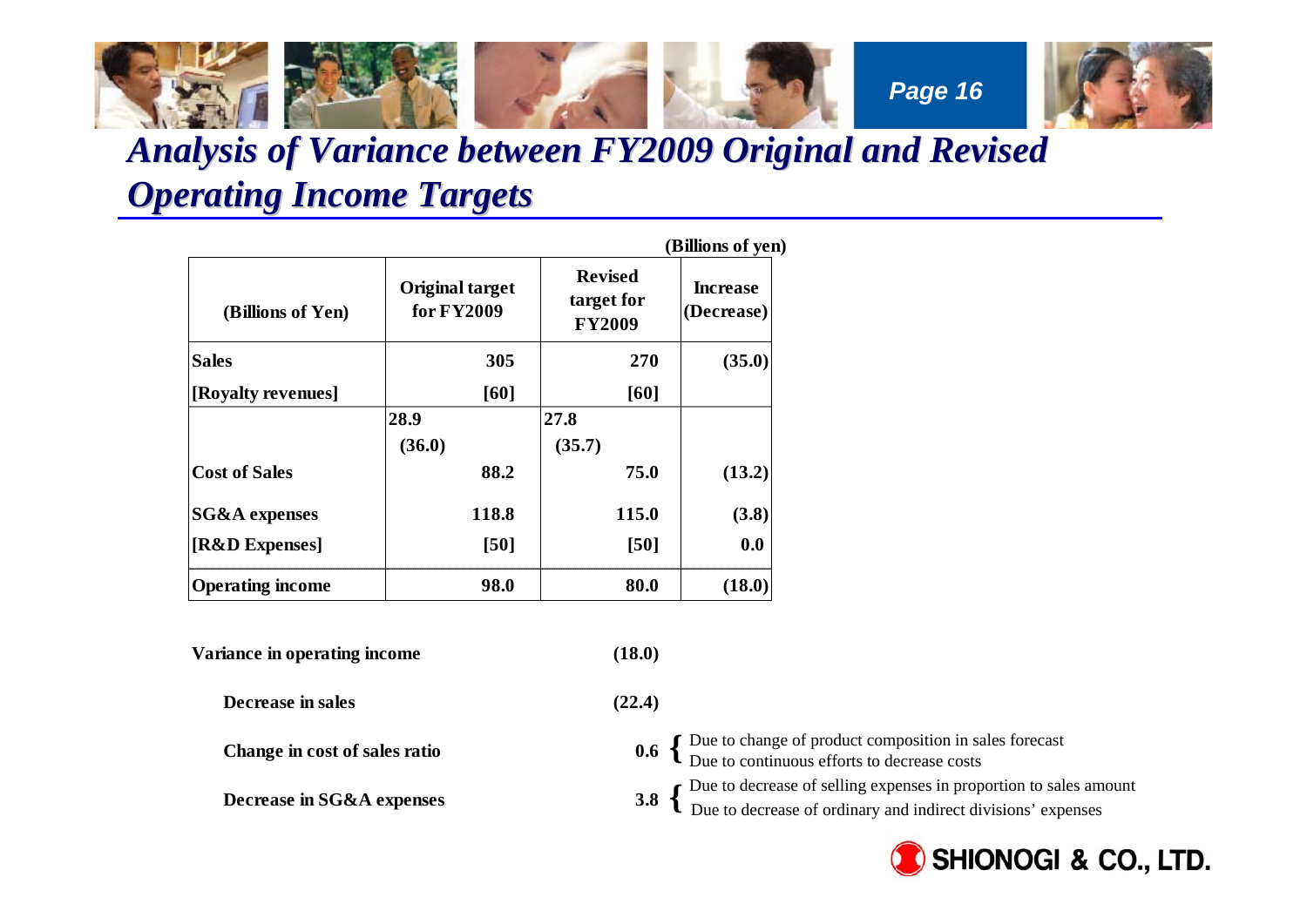

## *Analysis of Variance between FY2009 Original and Revised Operating Income Targets Operating Income Targets*

| (Billions of Yen)        | <b>Original target</b><br>for FY2009 | <b>Revised</b><br>target for<br><b>FY2009</b> | <b>Increase</b><br>(Decrease) |  |
|--------------------------|--------------------------------------|-----------------------------------------------|-------------------------------|--|
| <b>Sales</b>             | 305                                  | 270                                           | (35.0)                        |  |
| [Royalty revenues]       | [60]                                 | [60]                                          |                               |  |
|                          | 28.9                                 | 27.8                                          |                               |  |
|                          | (36.0)                               | (35.7)                                        |                               |  |
| <b>Cost of Sales</b>     | 88.2                                 | 75.0                                          | (13.2)                        |  |
| <b>SG&amp;A</b> expenses | 118.8                                | 115.0                                         | (3.8)                         |  |
| [R&D Expenses]           | [50]                                 | [50]                                          | 0.0                           |  |
| <b>Operating income</b>  | 98.0                                 | 80.0                                          | (18.0)                        |  |

| Variance in operating income  | (18.0)                                                                                                                                                                         |
|-------------------------------|--------------------------------------------------------------------------------------------------------------------------------------------------------------------------------|
| Decrease in sales             | (22.4)                                                                                                                                                                         |
| Change in cost of sales ratio | 0.6 $\left\{\n \begin{array}{l}\n \text{Due to change of product composition in sales forecast} \\  \text{Due to continuous efforts to decrease costs}\n \end{array}\n\right.$ |
| Decrease in SG&A expenses     | Due to decrease of selling expenses in proportion to sales amount<br>Due to decrease of ordinary and indirect divisions' expenses                                              |

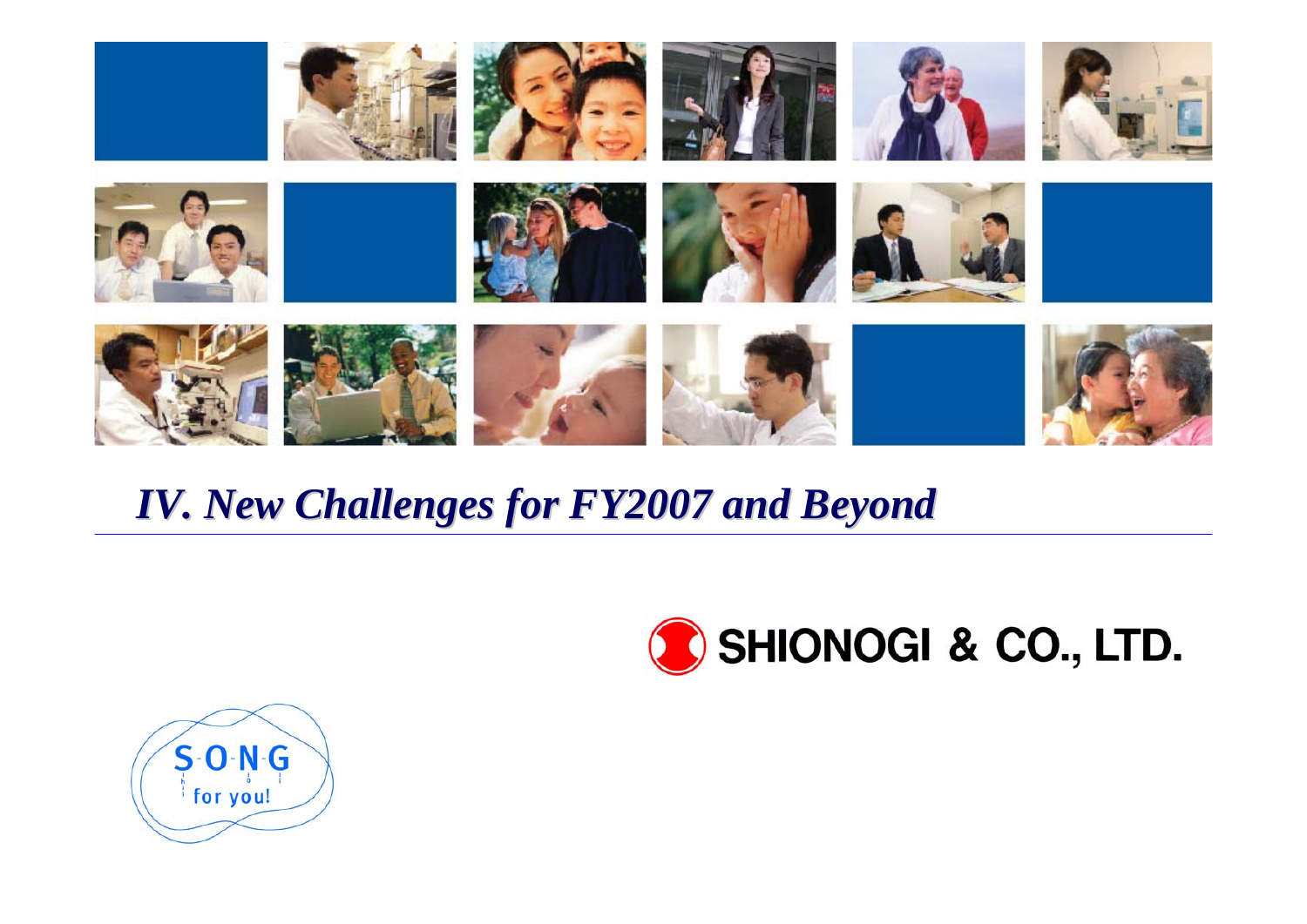

# *IV. New Challenges for FY2007 and Beyond IV. New Challenges for FY2007 and Beyond*



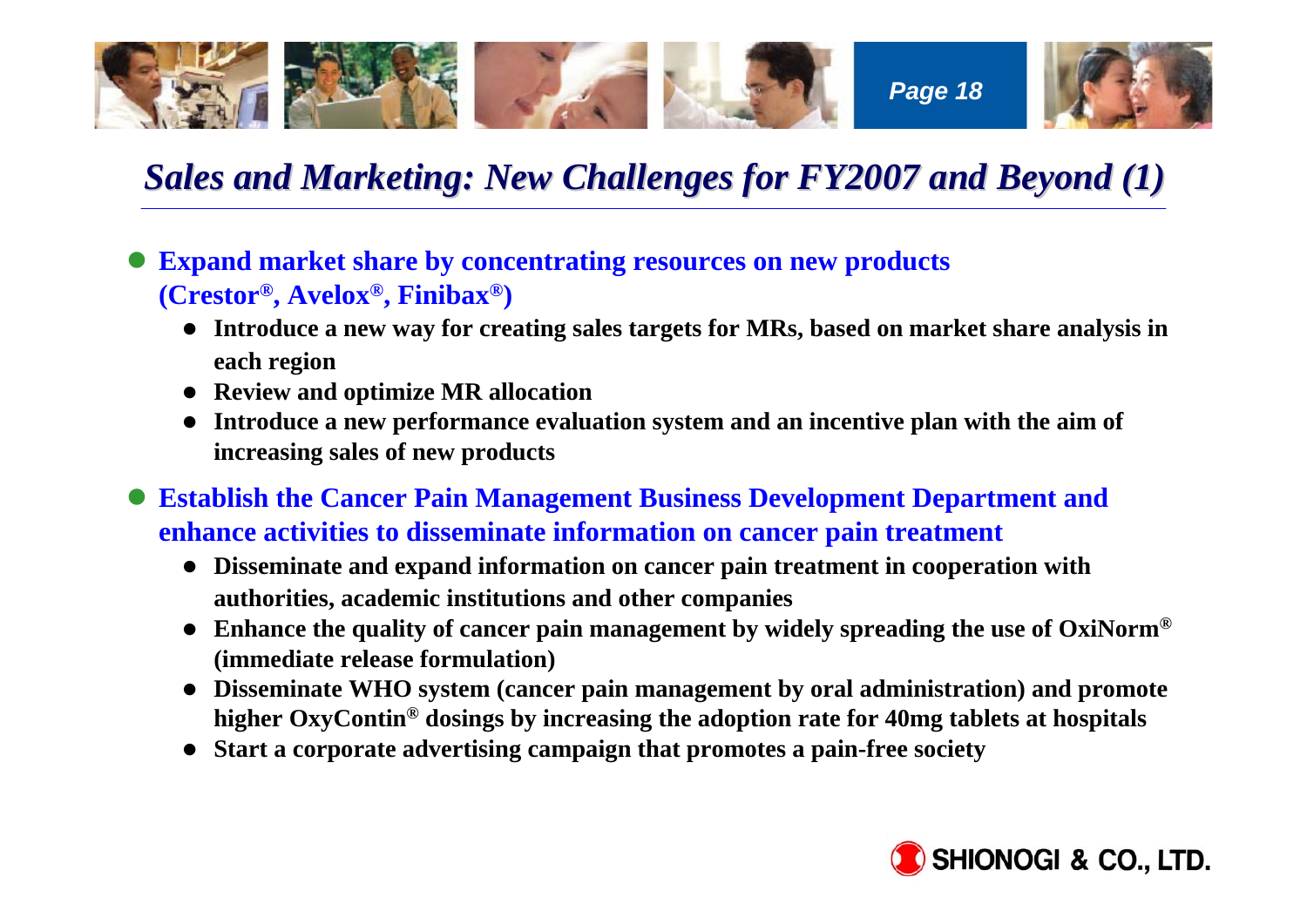

## *Sales and Marketing: New Challenges for FY2007 and Beyond (1) Sales and Marketing: New Challenges for FY2007 and Beyond (1)*

O **Expand market share by concentrating resources on new products (Crestor®, Avelox®, Finibax®)**

- Introduce a new way for creating sales targets for MRs, based on market share analysis in **each region**
- **•** Review and optimize MR allocation
- Introduce a new performance evaluation system and an incentive plan with the aim of **increasing sales of new products**

**• Establish the Cancer Pain Management Business Development Department and enhance activities to disseminate information on cancer pain treatment**

- Disseminate and expand information on cancer pain treatment in cooperation with **authorities, academic institutions and other companies**
- **•** Enhance the quality of cancer pain management by widely spreading the use of OxiNorm<sup>®</sup> **(immediate release formulation)**
- Disseminate WHO system (cancer pain management by oral administration) and promote **higher OxyContin® dosings by increasing the adoption rate for 40mg tablets at hospitals**
- **•** Start a corporate advertising campaign that promotes a pain-free society

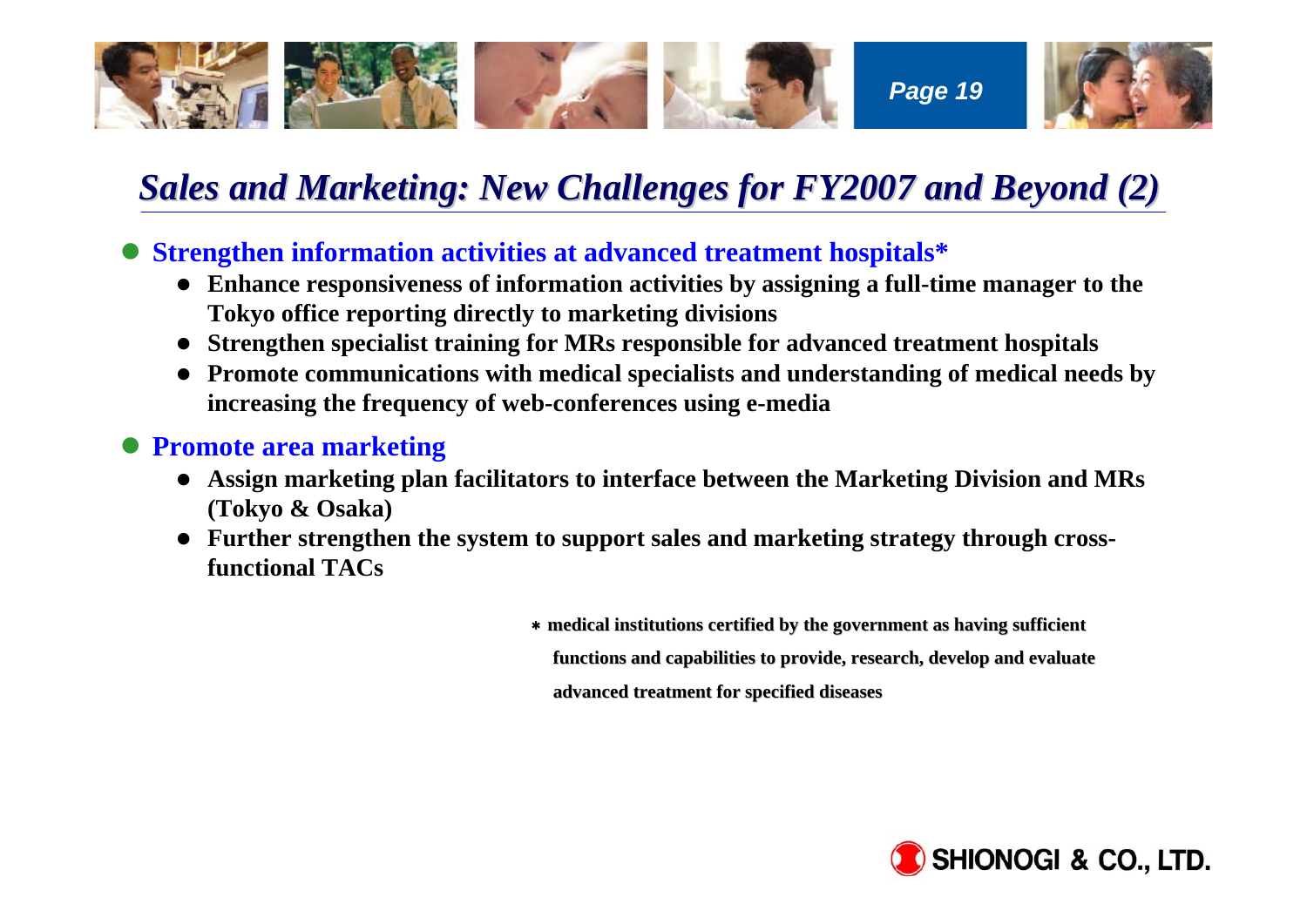

## *Sales and Marketing: New Challenges for FY2007 and Beyond (2) Sales and Marketing: New Challenges for FY2007 and Beyond (2)*

**• Strengthen information activities at advanced treatment hospitals\*** 

- Enhance responsiveness of information activities by assigning a full-time manager to the **Tokyo office reporting directly to marketing divisions**
- **•** Strengthen specialist training for MRs responsible for advanced treatment hospitals
- Promote communications with medical specialists and understanding of medical needs by **increasing the frequency of web-conferences using e-media**

#### **• Promote area marketing**

- **Assign marketing plan facilitators to interface between the Marketing Division and MRs (Tokyo & Osaka)**
- Further strengthen the system to support sales and marketing strategy through cross**functional TACs**

\* medical institutions certified by the government as having sufficient functions and capabilities to provide, research, develop and evaluate **advanced treatment for specified diseases advanced treatment for specified diseases**

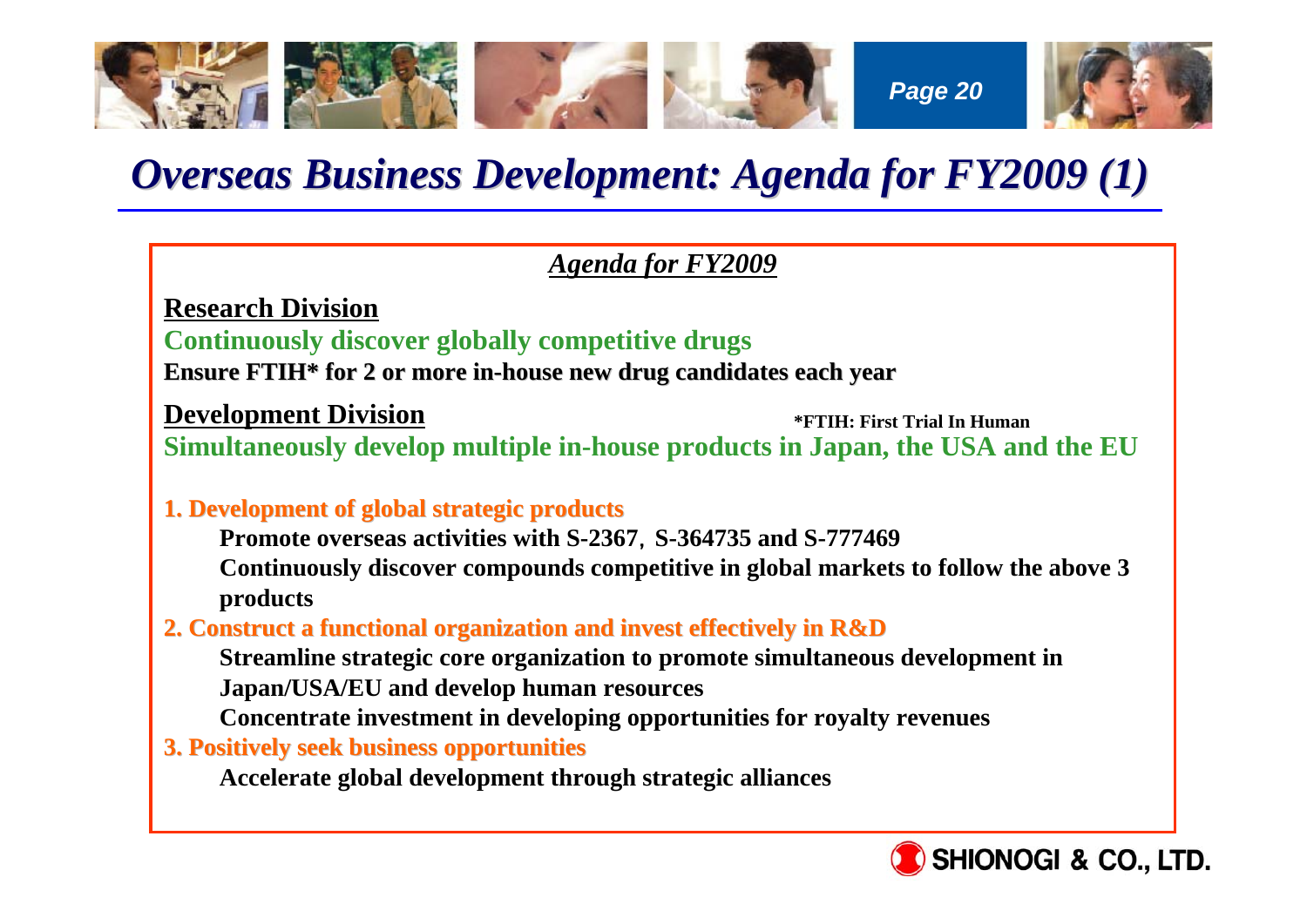

# *Overseas Business Development: Agenda for FY2009 (1)*

### *Agenda for FY2009*

**Research Division**

**Continuously discover globally competitive drugs**

**Ensure FTIH\* for 2 or more in Ensure for 2 or more in-house new drug candidates each year house new drug candidates each year**

**Development Division**

**\*FTIH: First Trial In Human**

**Simultaneously develop multiple in-house products in Japan, the USA and the EU**

#### **1. Development of global strategic products 1. Development of global strategic products**

**Promote overseas activities with S-2367**,**S-364735 and S-777469**

**Continuously discover compounds competitive in global markets to follow the above 3 products**

#### **2. Construct a functional organiz 2. Construct a functional organization and invest effectively in ation and invest effectively inR&D**

**Streamline strategic core organization to promote simultaneous development in Japan/USA/EU and develop human resources**

**Concentrate investment in developing opportunities for royalty revenues**

**3. Positively seek business opportunities 3. Positively seek business opportunities**

**Accelerate global development through strategic alliances**

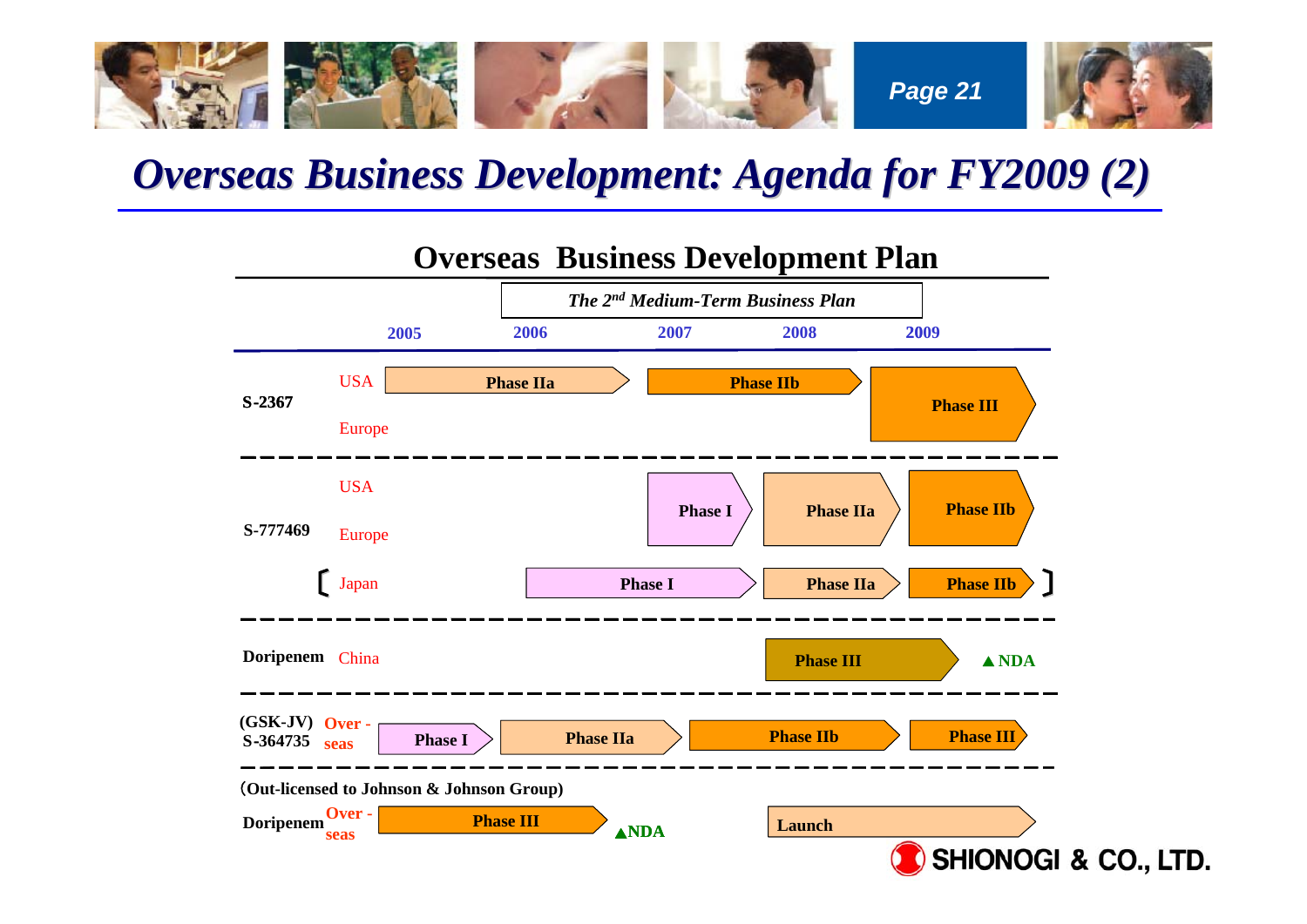

# *Overseas Business Development: Agenda for FY2009 (2)*



### **Overseas Business Development Plan**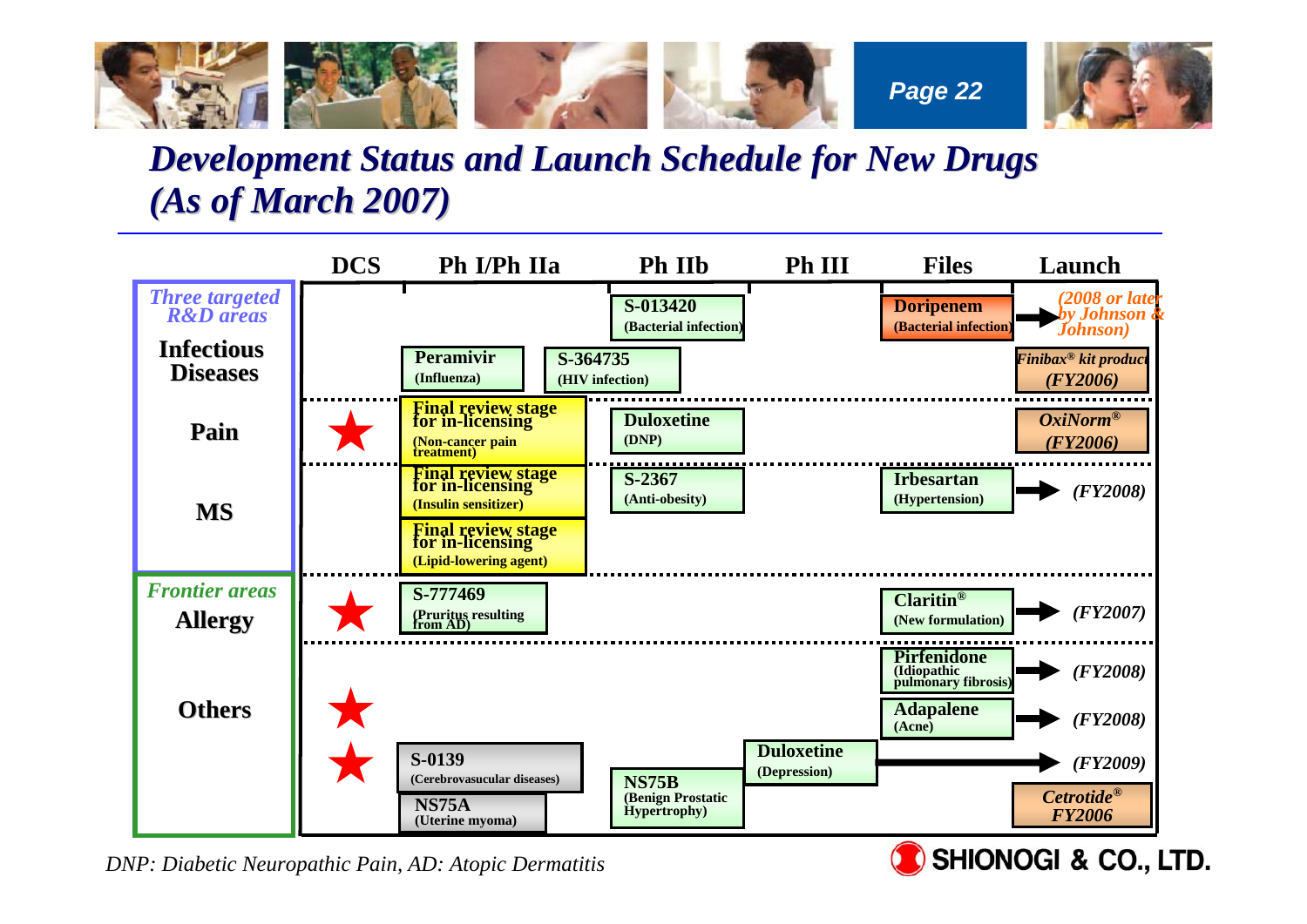

### *Development Status and Launch Schedule for New Drugs (As of March 2007) As of March 2007)*



*DNP: Diabetic Neuropathic Pain, AD: Atopic Dermatitis*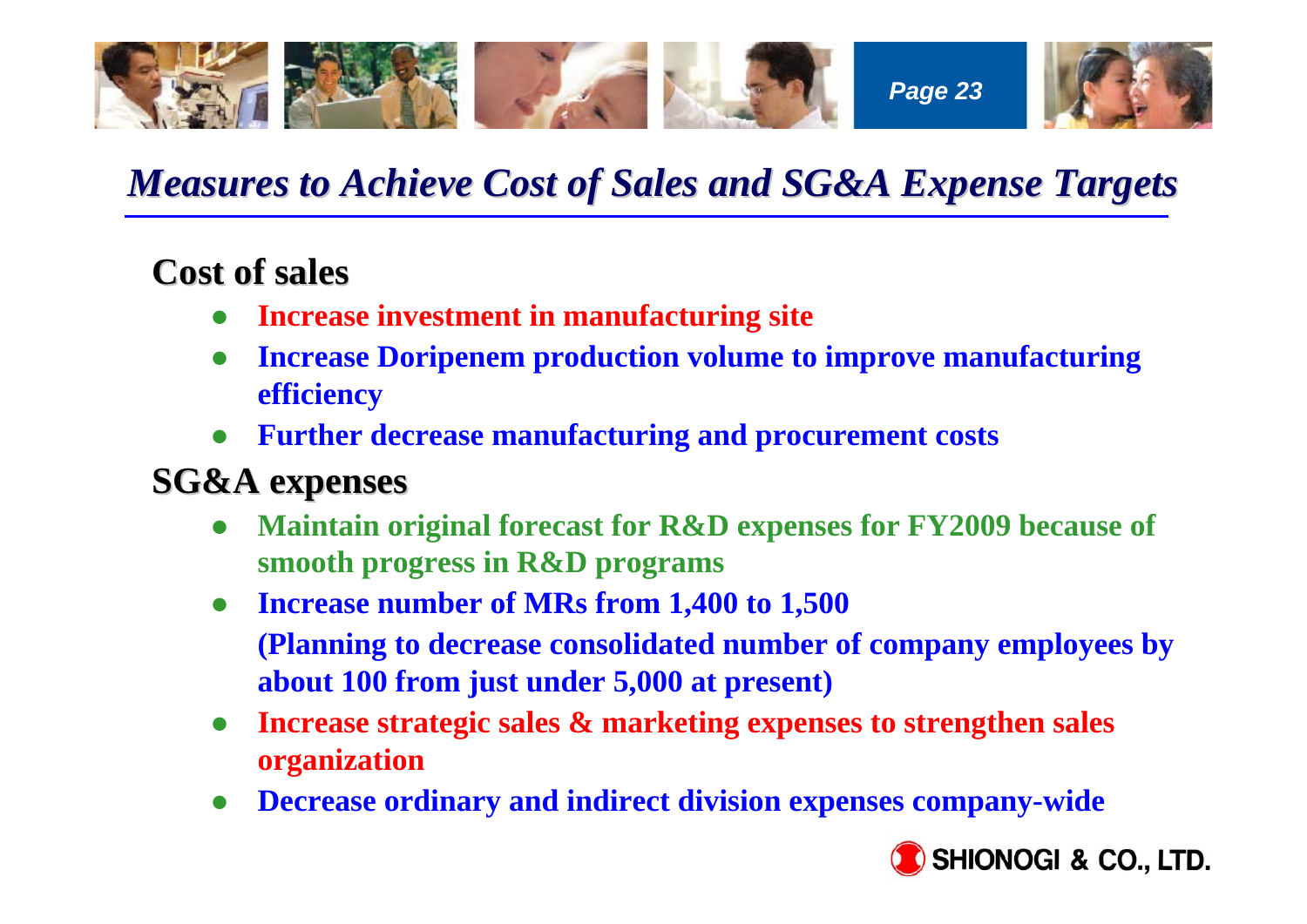

# *Measures to Achieve Cost of Sales and SG&A Expense Targets Measures to Achieve Cost of Sales and SG&A Expense Targets*

## **Cost of sales Cost of sales**

- $\bullet$ **Increase investment in manufacturing site**
- $\bullet$  **Increase Doripenem production volume to improve manufacturing efficiency**
- $\bullet$ **Further decrease manufacturing and procurement costs**

## **SG&A expenses SG&A expenses**

- $\bullet$  **Maintain original forecast for R&D expenses for FY2009 because of smooth progress in R&D programs**
- $\bullet$  **Increase number of MRs from 1,400 to 1,500 (Planning to decrease consolidated number of company employees by about 100 from just under 5,000 at present)**
- $\bullet$  **Increase strategic sales & marketing expenses to strengthen sales organization**
- $\bullet$ **Decrease ordinary and indirect division expenses company-wide**

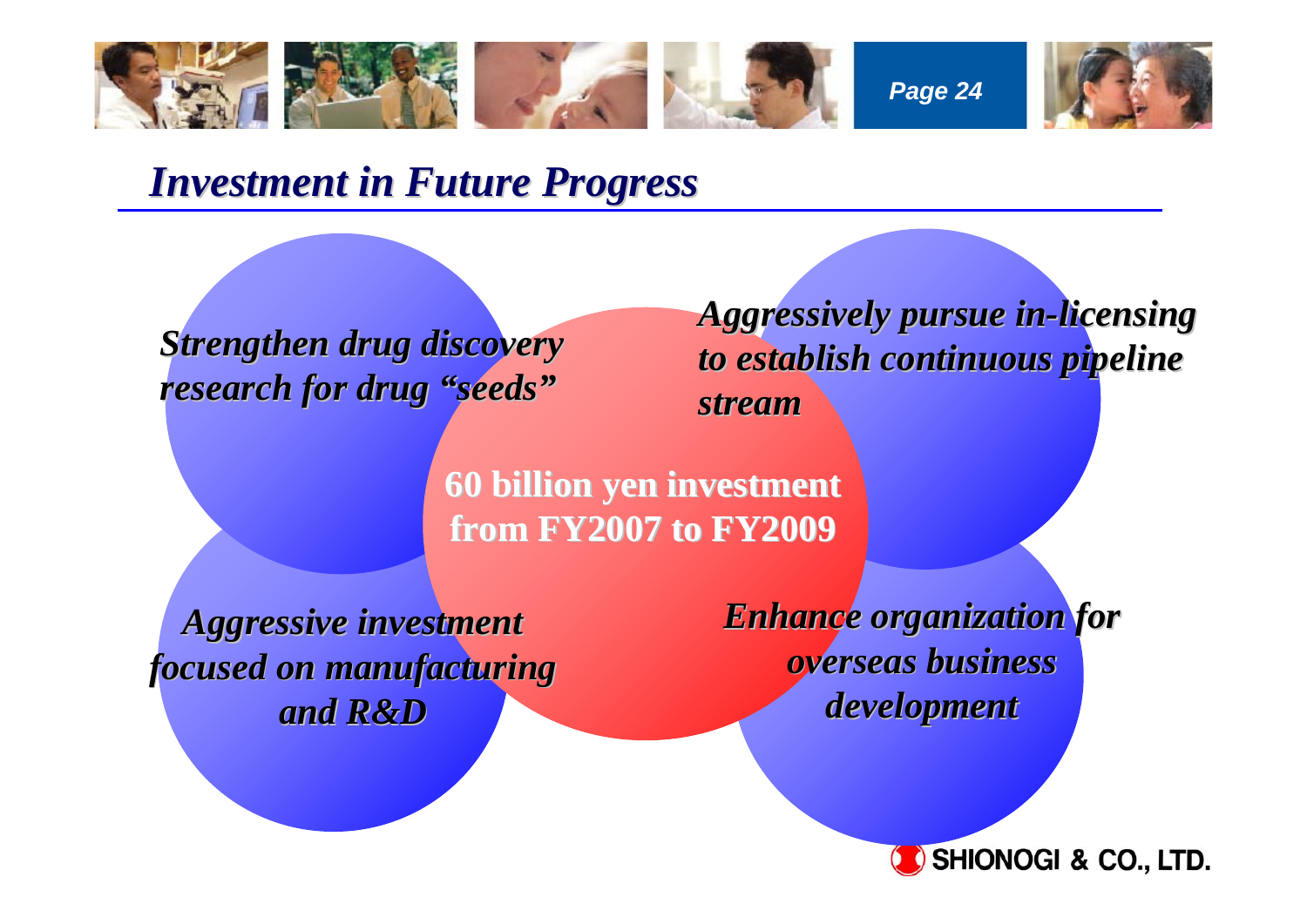

*Investment in Future Progress Investment in Future Progress*

**Strengthen drug discovery** research for drug "seeds"

*Aggressively pursue in Aggressively pursue in-licensing licensing to establish continuous pipeline to establish continuous pipeline stream*

**60 billion yen investment 60 billion yen investment from FY2007 to FY2009 from FY2007 to FY2009**

*Aggressive investment Aggressive investment focused on manufacturing focused on manufacturing and R&D and R&D*

*Enhance organization for Enhance organization for overseas business overseas business development development*

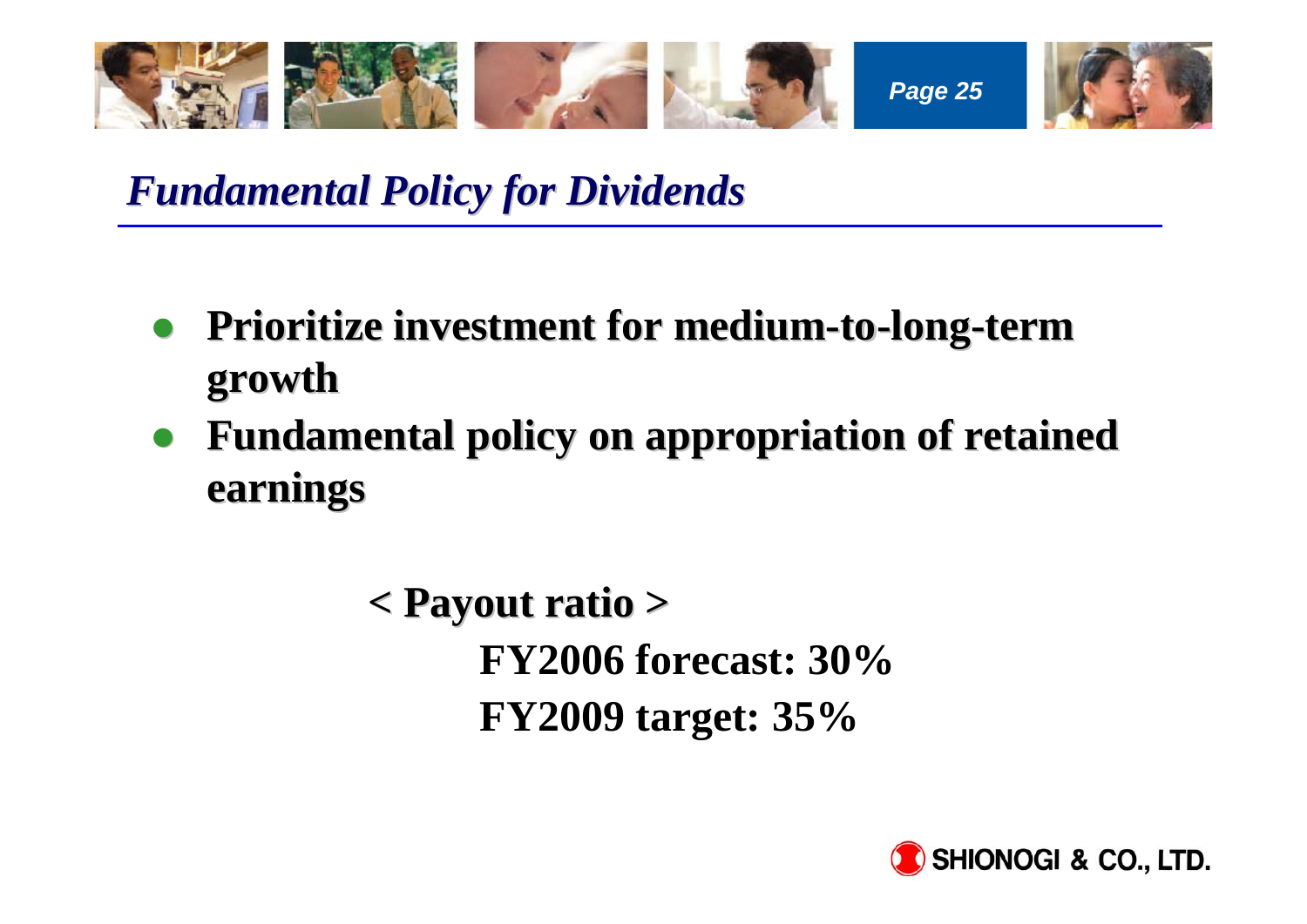

*Fundamental Policy for Dividends Fundamental Policy for Dividends*

- $\bullet$ **• Prioritize investment for medium-to-long-term growth**
- $\bullet$ **Fundamental policy on appropriation of retained earnings earnings**

**< Payout ratio > < Payout ratio > FY2006 forecast: 30%FY2009 target: 35%**

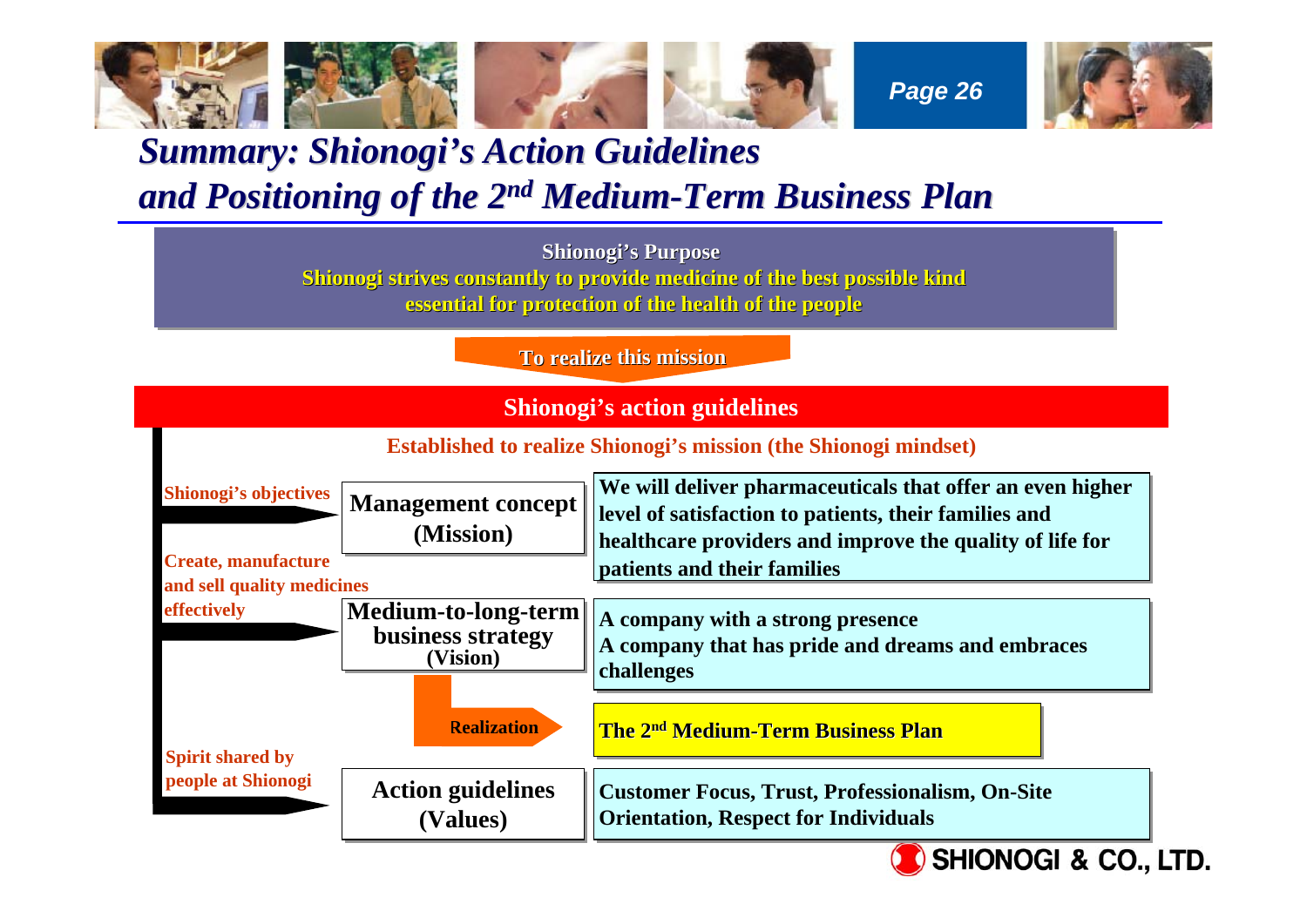

### **Summary: Shionogi's Action Guidelines** *and Positioning of the 2 and Positioning of the 2n<sup>d</sup> Medium-Term Business Plan Term Business Plan*